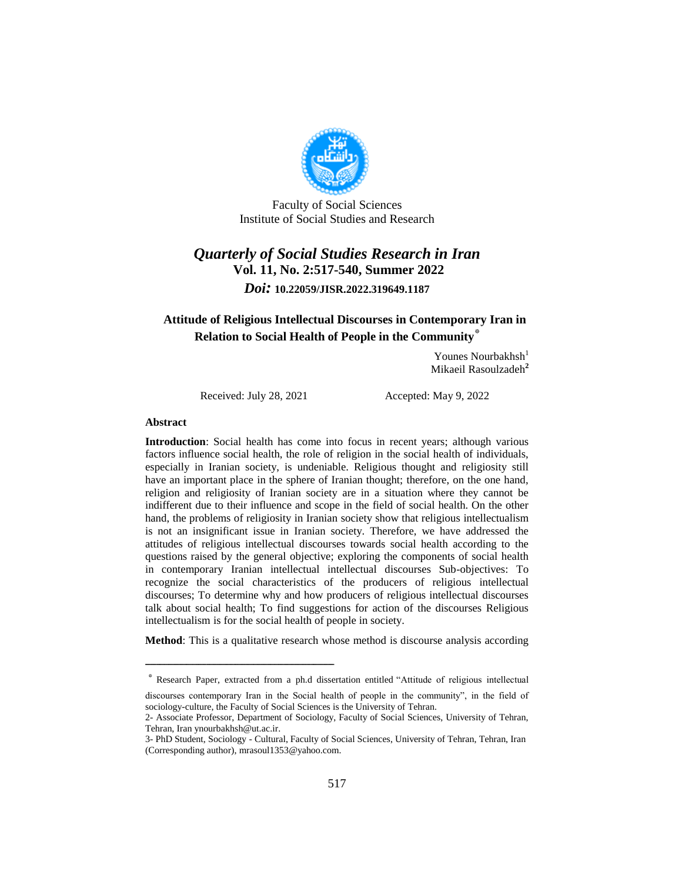

Faculty of Social Sciences Institute of Social Studies and Research

# *Quarterly of Social Studies Research in Iran* **Vol. 11, No. 2:517-540, Summer 2022** *Doi:* **10.22059/JISR.2022.319649.1187**

## **Attitude of Religious Intellectual Discourses in Contemporary Iran in Relation to Social Health of People in the Community**\*

Younes Nourbakhsh $<sup>1</sup>$ </sup> Mikaeil Rasoulzadeh**<sup>2</sup>**

Received: July 28, 2021 Accepted: May 9, 2022

ــــــــــــــــــــــــــــــــــــــــــــــــــــــــــــــــــــــــــــــــــــــــــــــــــــــــــــــــــــــــــــــــــــــــــــــــ

#### **Abstract**

**Introduction**: Social health has come into focus in recent years; although various factors influence social health, the role of religion in the social health of individuals, especially in Iranian society, is undeniable. Religious thought and religiosity still have an important place in the sphere of Iranian thought; therefore, on the one hand, religion and religiosity of Iranian society are in a situation where they cannot be indifferent due to their influence and scope in the field of social health. On the other hand, the problems of religiosity in Iranian society show that religious intellectualism is not an insignificant issue in Iranian society. Therefore, we have addressed the attitudes of religious intellectual discourses towards social health according to the questions raised by the general objective; exploring the components of social health in contemporary Iranian intellectual intellectual discourses Sub-objectives: To recognize the social characteristics of the producers of religious intellectual discourses; To determine why and how producers of religious intellectual discourses talk about social health; To find suggestions for action of the discourses Religious intellectualism is for the social health of people in society.

**Method**: This is a qualitative research whose method is discourse analysis according

<sup>\*</sup> Research Paper, extracted from a ph.d dissertation entitled "Attitude of religious intellectual

discourses contemporary Iran in the Social health of people in the community", in the field of sociology-culture, the Faculty of Social Sciences is the University of Tehran.

<sup>2-</sup> Associate Professor, Department of Sociology, Faculty of Social Sciences, University of Tehran, Tehran, Iran ynourbakhsh@ut.ac.ir.

<sup>3-</sup> PhD Student, Sociology - Cultural, Faculty of Social Sciences, University of Tehran, Tehran, Iran (Corresponding author), mrasoul1353@yahoo.com.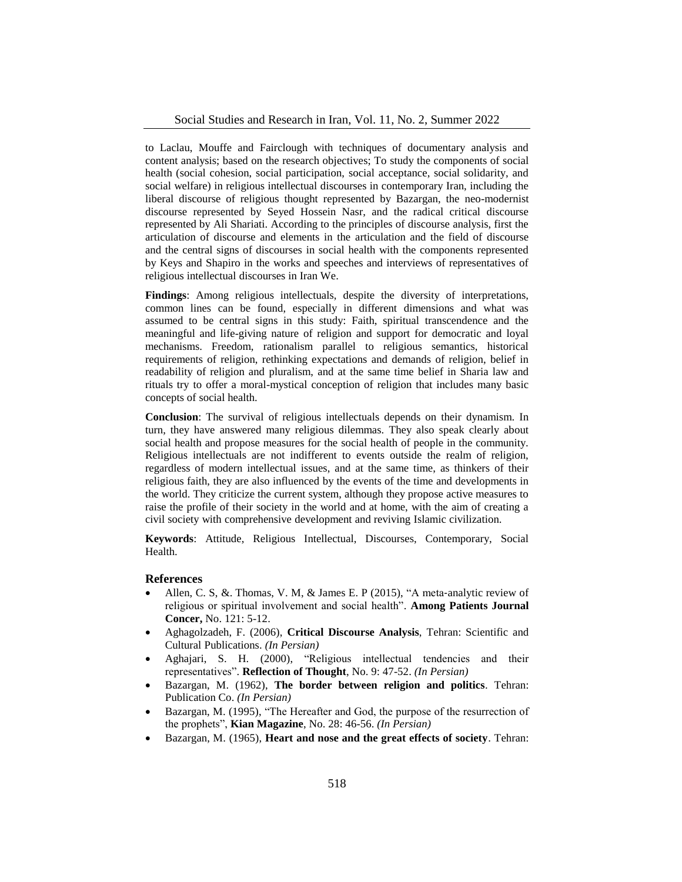to Laclau, Mouffe and Fairclough with techniques of documentary analysis and content analysis; based on the research objectives; To study the components of social health (social cohesion, social participation, social acceptance, social solidarity, and social welfare) in religious intellectual discourses in contemporary Iran, including the liberal discourse of religious thought represented by Bazargan, the neo-modernist discourse represented by Seyed Hossein Nasr, and the radical critical discourse represented by Ali Shariati. According to the principles of discourse analysis, first the articulation of discourse and elements in the articulation and the field of discourse and the central signs of discourses in social health with the components represented by Keys and Shapiro in the works and speeches and interviews of representatives of religious intellectual discourses in Iran We.

**Findings**: Among religious intellectuals, despite the diversity of interpretations, common lines can be found, especially in different dimensions and what was assumed to be central signs in this study: Faith, spiritual transcendence and the meaningful and life-giving nature of religion and support for democratic and loyal mechanisms. Freedom, rationalism parallel to religious semantics, historical requirements of religion, rethinking expectations and demands of religion, belief in readability of religion and pluralism, and at the same time belief in Sharia law and rituals try to offer a moral-mystical conception of religion that includes many basic concepts of social health.

**Conclusion**: The survival of religious intellectuals depends on their dynamism. In turn, they have answered many religious dilemmas. They also speak clearly about social health and propose measures for the social health of people in the community. Religious intellectuals are not indifferent to events outside the realm of religion, regardless of modern intellectual issues, and at the same time, as thinkers of their religious faith, they are also influenced by the events of the time and developments in the world. They criticize the current system, although they propose active measures to raise the profile of their society in the world and at home, with the aim of creating a civil society with comprehensive development and reviving Islamic civilization.

**Keywords**: Attitude, Religious Intellectual, Discourses, Contemporary, Social Health.

### **References**

- Allen, C. S, &. Thomas, V. M, & James E. P (2015), "A meta‐analytic review of religious or spiritual involvement and social health". **Among Patients Journal Concer,** No. 121: 5-12.
- Aghagolzadeh, F. (2006), **Critical Discourse Analysis**, Tehran: Scientific and Cultural Publications. *(In Persian)*
- Aghajari, S. H. (2000), "Religious intellectual tendencies and their representatives". **Reflection of Thought**, No. 9: 47-52. *(In Persian)*
- Bazargan, M. (1962), **The border between religion and politics**. Tehran: Publication Co. *(In Persian)*
- Bazargan, M. (1995), "The Hereafter and God, the purpose of the resurrection of the prophets", **Kian Magazine**, No. 28: 46-56. *(In Persian)*
- Bazargan, M. (1965), **Heart and nose and the great effects of society**. Tehran: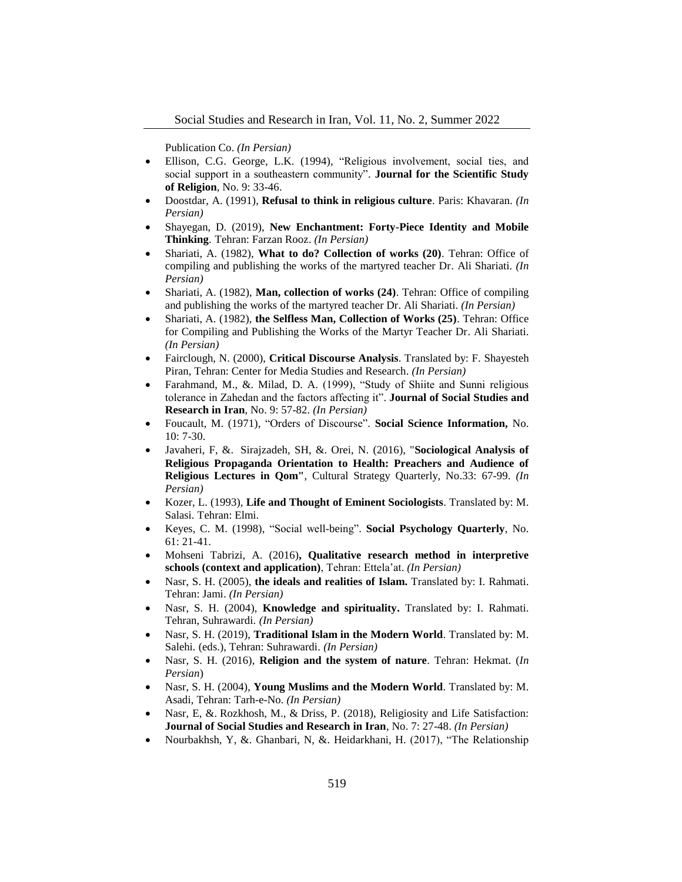Publication Co. *(In Persian)*

- Ellison, C.G. George, L.K. (1994), "Religious involvement, social ties, and social support in a southeastern community". **Journal for the Scientific Study of Religion**, No. 9: 33-46.
- Doostdar, A. (1991), **Refusal to think in religious culture**. Paris: Khavaran. *(In Persian)*
- Shayegan, D. (2019), **New Enchantment: Forty-Piece Identity and Mobile Thinking**. Tehran: Farzan Rooz. *(In Persian)*
- Shariati, A. (1982), **What to do? Collection of works (20)**. Tehran: Office of compiling and publishing the works of the martyred teacher Dr. Ali Shariati. *(In Persian)*
- Shariati, A. (1982), **Man, collection of works (24)**. Tehran: Office of compiling and publishing the works of the martyred teacher Dr. Ali Shariati. *(In Persian)*
- Shariati, A. (1982), **the Selfless Man, Collection of Works (25)**. Tehran: Office for Compiling and Publishing the Works of the Martyr Teacher Dr. Ali Shariati. *(In Persian)*
- Fairclough, N. (2000), **Critical Discourse Analysis**. Translated by: F. Shayesteh Piran, Tehran: Center for Media Studies and Research. *(In Persian)*
- Farahmand, M., &. Milad, D. A. (1999), "Study of Shiite and Sunni religious tolerance in Zahedan and the factors affecting it". **Journal of Social Studies and Research in Iran**, No. 9: 57-82. *(In Persian)*
- Foucault, M. (1971), "Orders of Discourse". **Social Science Information,** No. 10: 7-30.
- Javaheri, F, &. Sirajzadeh, SH, &. Orei, N. (2016), "**Sociological Analysis of Religious Propaganda Orientation to Health: Preachers and Audience of Religious Lectures in Qom"**, Cultural Strategy Quarterly, No.33: 67-99. *(In Persian)*
- Kozer, L. (1993), **Life and Thought of Eminent Sociologists**. Translated by: M. Salasi. Tehran: Elmi.
- Keyes, C. M. (1998), "Social well-being". **Social Psychology Quarterly**, No. 61: 21-41.
- Mohseni Tabrizi, A. (2016)**, Qualitative research method in interpretive schools (context and application)**, Tehran: Ettela'at. *(In Persian)*
- Nasr, S. H. (2005), **the ideals and realities of Islam.** Translated by: I. Rahmati. Tehran: Jami. *(In Persian)*
- Nasr, S. H. (2004), **Knowledge and spirituality.** Translated by: I. Rahmati. Tehran, Suhrawardi. *(In Persian)*
- Nasr, S. H. (2019), **Traditional Islam in the Modern World**. Translated by: M. Salehi. (eds.), Tehran: Suhrawardi. *(In Persian)*
- Nasr, S. H. (2016), **Religion and the system of nature**. Tehran: Hekmat. (*In Persian*)
- Nasr, S. H. (2004), **Young Muslims and the Modern World**. Translated by: M. Asadi, Tehran: Tarh-e-No. *(In Persian)*
- Nasr, E, &. Rozkhosh, M., & Driss, P. (2018), Religiosity and Life Satisfaction: **Journal of Social Studies and Research in Iran**, No. 7: 27-48. *(In Persian)*
- Nourbakhsh, Y, &. Ghanbari, N, &. Heidarkhani, H. (2017), "The Relationship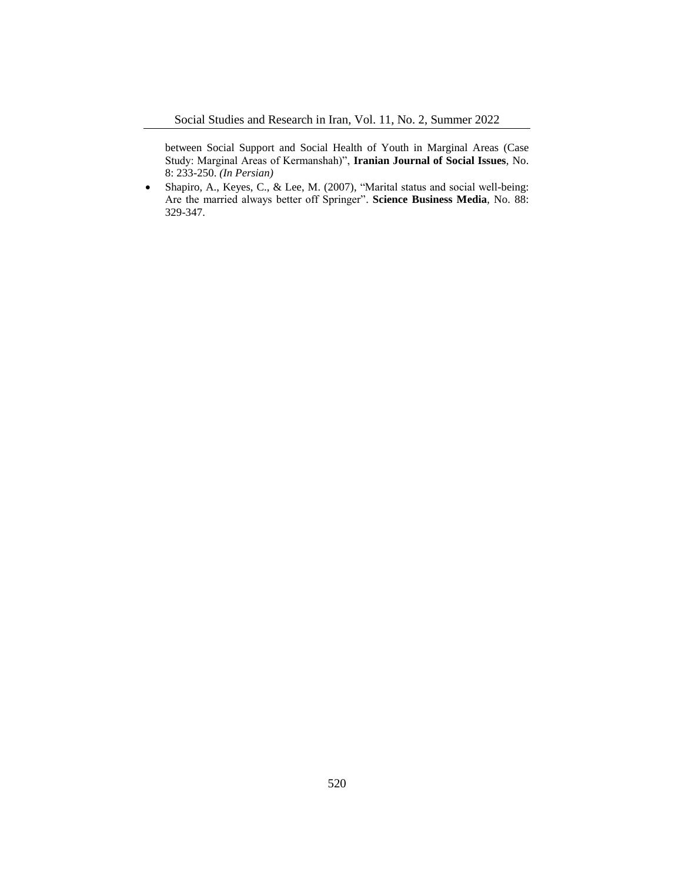between Social Support and Social Health of Youth in Marginal Areas (Case Study: Marginal Areas of Kermanshah)", **Iranian Journal of Social Issues**, No. 8: 233-250. *(In Persian)*

 Shapiro, A., Keyes, C., & Lee, M. (2007), "Marital status and social well-being: Are the married always better off Springer". **Science Business Media**, No. 88: 329-347.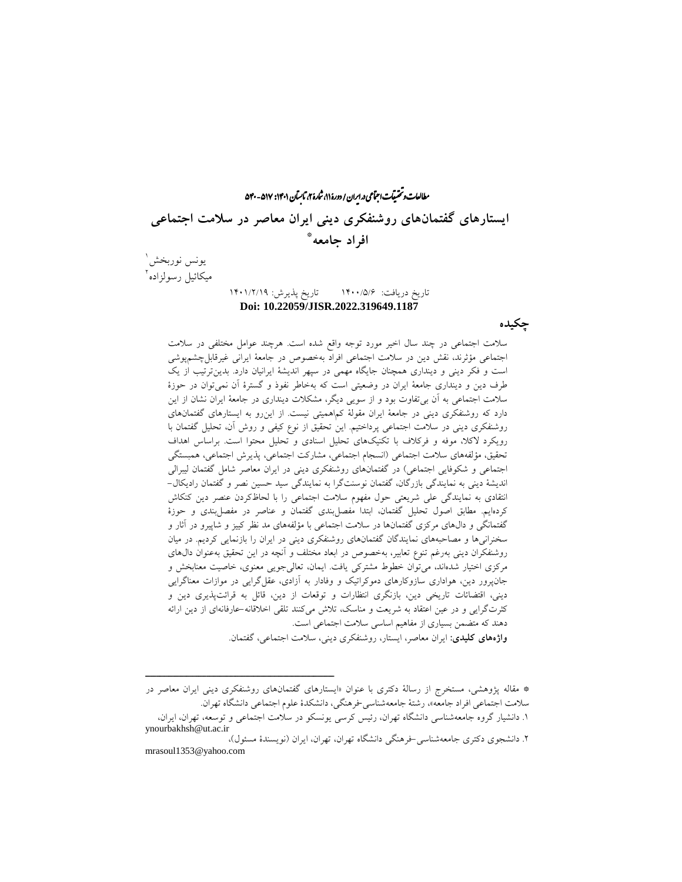راان و تحقیقات اجتماعی د. ایران / دورهٔ ۱۱، شارهٔ ۲، ثابتان ۱۴۰۱: ۵۴۷–۵۴۰ ما ش **ایستارهای گفتمانهای روشنفکری دینی ایران معاصر در سالمت اجتماعی** \* **افراد جامعه**

یونس نوربخش 1 میکائیل رسولزاده 2

### تاریخ دریافت: 1400/5/6 تاریخ پذیرش: 1401/2/19 **Doi: 10.22059/JISR.2022.319649.1187**

**چکیده**

سالمت اجتماعی در چند سال اخیر مورد توجه واقع شده است. هرچند عوامل مختلفی در سالمت اجتماعی مؤثرند، نقش دین در سالمت اجتماعی افراد بهخصوص در جامعۀ ایرانی غیرقابلچشمپوشی است و فکر دینی و دینداری همچنان جایگاه مهمی در سپهر اندیشۀ ایرانیان دارد. بدینترتیب از یک طرف دین و دینداری جامعۀ ایران در وضعیتی است که بهخاطر نفوذ و گسترۀ آن نمیتوان در حوزۀ سالمت اجتماعی به آن بیتفاوت بود و از سویی دیگر، مشکالت دینداری در جامعۀ ایران نشان از این دارد که روشنفکری دینی در جامعۀ ایران مقولۀ کماهمیتی نیست. از اینرو به ایستارهای گفتمانهای روشنفکری دینی در سالمت اجتماعی پرداختیم. این تحقیق از نوع کیفی و روش آن، تحلیل گفتمان با رویکرد الکال، موفه و فرکالف با تکنیکهای تحلیل اسنادی و تحلیل محتوا است. براساس اهداف تحقیق، مؤلفههای سالمت اجتماعی )انسجام اجتماعی، مشارکت اجتماعی، پذیرش اجتماعی، همبستگی اجتماعی و شکوفایی اجتماعی) در گفتمانهای روشنفکری دینی در ایران معاصر شامل گفتمان لیبرالی اندیشۀ دینی به نمایندگی بازرگان، گفتمان نوسنتگرا به نمایندگی سید حسین نصر و گفتمان رادیکال- انتقادی به نمایندگی علی شریعتی حول مفهوم سالمت اجتماعی را با لحاظکردن عنصر دین کنکاش کردهایم. مطابق اصول تحلیل گفتمان، ابتدا مفصلبندی گفتمان و عناصر در مفصلبندی و حوزۀ گفتمانگی و دالهای مرکزی گفتمانها در سالمت اجتماعی با مؤلفههای مد نظر کییز و شاپیرو در آثار و سخنرانیها و مصاحبههای نمایندگان گفتمانهای روشنفکری دینی در ایران را بازنمایی کردیم. در میان روشنفکران دینی بهرغم تنوع تعابیر، بهخصوص در ابعاد مختلف و آنچه در این تحقیق بهعنوان دالهای مرکزی اختیار شدهاند، میتوان خطوط مشترکی یافت. ایمان، تعالیجویی معنوی، خاصیت معنابخش و جانپرور دین، هواداری سازوکارهای دموکراتیک و وفادار به آزادی، عقلگرایی در موازات معناگرایی دینی، اقتضائات تاریخی دین، بازنگری انتظارات و توقعات از دین، قائل به قرائتپذیری دین و کثرتگرایی و در عین اعتقاد به شریعت و مناسک، تالش میکنند تلقی اخالقانه-عارفانهای از دین ارائه دهند که متضمن بسیاری از مفاهیم اساسی سالمت اجتماعی است. **واژههای کلیدی:** ایران معاصر، ایستار، روشنفکری دینی، سالمت اجتماعی، گفتمان.

\* مقاله پژوهشی، مستخرج از رسالۀ دکتری با عنوان »ایستارهای گفتمانهای روشنفکری دینی ایران معاصر در سالمت اجتماعی افراد جامعه«، رشتۀ جامعهشناسی-فرهنگی، دانشکدۀ علوم اجتماعی دانشگاه تهران. .1 دانشیار گروه جامعهشناسی دانشگاه تهران، رئیس کرسی یونسکو در سالمت اجتماعی و توسعه، تهران، ایران،

ــــــــــــــــــــــــــــــــــــــــــــــــــــــــــــــــــــــــــــــــــــــــــــــــــــــــــــــــــــــــــــــــــــــــــــــــ

ynourbakhsh@ut.ac.ir .2 دانشجوی دکتری جامعهشناسی-فرهنگی دانشگاه تهران، تهران، ایران )نویسندۀ مسئول(، mrasoul1353@yahoo.com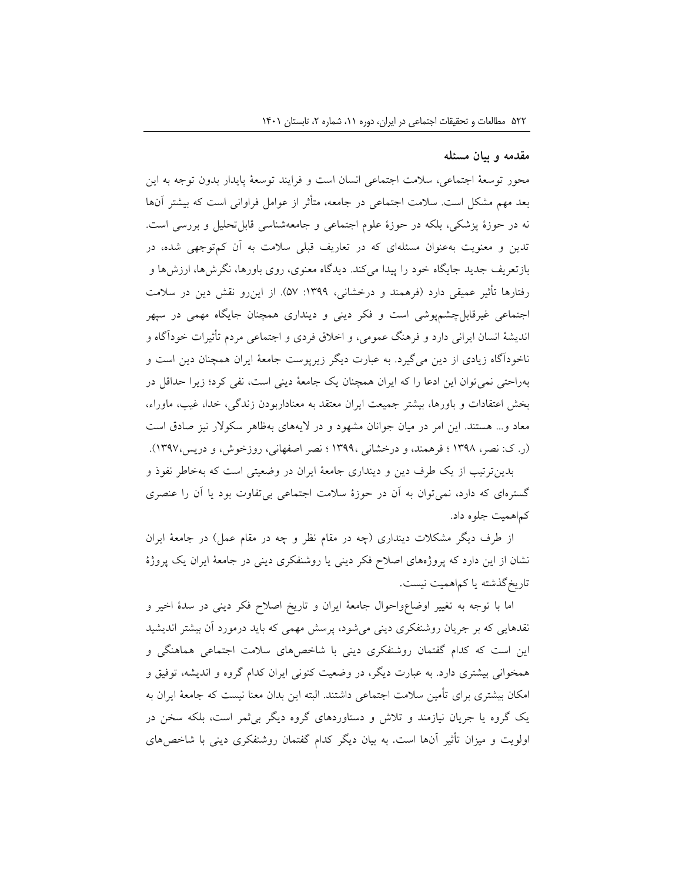### **مقدمه و بیان مسئله**

محور توسعۀ اجتماعی، سالمت اجتماعی انسان است و فرایند توسعۀ پایدار بدون توجه به این بعد مهم مشکل است. سالمت اجتماعی در جامعه، متأثر از عوامل فراوانی است که بیشتر آنها نه در حوزۀ پزشکی، بلکه در حوزۀ علوم اجتماعی و جامعهشناسی قابلتحلیل و بررسی است. تدین و معنویت بهعنوان مسئلهای که در تعاریف قبلی سالمت به آن کمتوجهی شده، در بازتعریف جدید جایگاه خود را پیدا میکند. دیدگاه معنوی، روی باورها، نگرشها، ارزشها و رفتارها تأثیر عمیقی دارد (فرهمند و درخشانی، ۱۳۹۹: ۵۷). از اینررو نقش دین در سلامت اجتماعی غیرقابلچشمپوشی است و فکر دینی و دینداری همچنان جایگاه مهمی در سپهر اندیشۀ انسان ایرانی دارد و فرهنگ عمومی، و اخالق فردی و اجتماعی مردم تأثیرات خودآگاه و ناخودآگاه زیادی از دین میگیرد. به عبارت دیگر زیرپوست جامعۀ ایران همچنان دین است و بهراحتی نمیتوان این ادعا را که ایران همچنان یک جامعۀ دینی است، نفی کرد؛ زیرا حداقل در بخش اعتقادات و باورها، بیشتر جمیعت ایران معتقد به معناداربودن زندگی، خدا، غیب، ماوراء، معاد و... هستند. این امر در میان جوانان مشهود و در الیههای بهظاهر سکوالر نیز صادق است )ر. ک: نصر، 1398 ؛ فرهمند، و درخشانی 1399، ؛ نصر اصفهانی، روزخوش، و دریس1397،(. بدینترتیب از یک طرف دین و دینداری جامعۀ ایران در وضعیتی است که بهخاطر نفوذ و

گسترهای که دارد، نمیتوان به آن در حوزۀ سالمت اجتماعی بیتفاوت بود یا آن را عنصری کماهمیت جلوه داد.

از طرف دیگر مشکلات دینداری (چه در مقام نظر و چه در مقام عمل) در جامعۀ ایران نشان از این دارد که پروژههای اصالح فکر دینی یا روشنفکری دینی در جامعۀ ایران یک پروژۀ تاریخگذشته یا کماهمیت نیست.

اما با توجه به تغییر اوضاعواحوال جامعۀ ایران و تاریخ اصالح فکر دینی در سدۀ اخیر و نقدهایی که بر جریان روشنفکری دینی میشود، پرسش مهمی که باید درمورد آن بیشتر اندیشید این است که کدام گفتمان روشنفکری دینی با شاخصهای سالمت اجتماعی هماهنگی و همخوانی بیشتری دارد. به عبارت دیگر، در وضعیت کنونی ایران کدام گروه و اندیشه، توفیق و امکان بیشتری برای تأمین سالمت اجتماعی داشتند. البته این بدان معنا نیست که جامعۀ ایران به یک گروه یا جریان نیازمند و تالش و دستاوردهای گروه دیگر بیثمر است، بلکه سخن در اولویت و میزان تأثیر آنها است. به بیان دیگر کدام گفتمان روشنفکری دینی با شاخصهای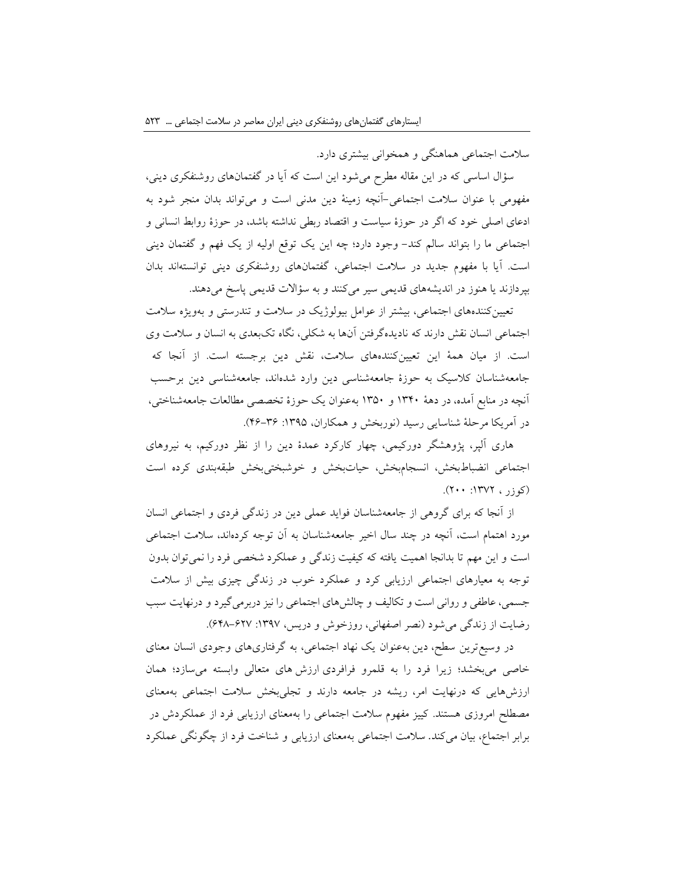سالمت اجتماعی هماهنگی و همخوانی بیشتری دارد.

سؤال اساسی که در این مقاله مطرح میشود این است که آیا در گفتمانهای روشنفکری دینی، مفهومی با عنوان سالمت اجتماعی-آنچه زمینۀ دین مدنی است و میتواند بدان منجر شود به ادعای اصلی خود که اگر در حوزۀ سیاست و اقتصاد ربطی نداشته باشد، در حوزۀ روابط انسانی و اجتماعی ما را بتواند سالم کند- وجود دارد؛ چه این یک توقع اولیه از یک فهم و گفتمان دینی است. آیا با مفهوم جدید در سالمت اجتماعی، گفتمانهای روشنفکری دینی توانستهاند بدان بپردازند یا هنوز در اندیشههای قدیمی سیر میکنند و به سؤاالت قدیمی پاسخ میدهند.

تعیینکنندههای اجتماعی، بیشتر از عوامل بیولوژیک در سالمت و تندرستی و بهویژه سالمت اجتماعی انسان نقش دارند که نادیدهگرفتن آنها به شکلی، نگاه تکبعدی به انسان و سالمت وی است. از میان همۀ این تعیینکنندههای سالمت، نقش دین برجسته است. از آنجا که جامعهشناسان کالسیک به حوزۀ جامعهشناسی دین وارد شدهاند، جامعهشناسی دین برحسب آنچه در منابع آمده، در دهۀ 1340 و 1350 بهعنوان یک حوزۀ تخصصی مطالعات جامعهشناختی، در آمریکا مرحلۀ شناسایی رسید )نوربخش و همکاران، :1395 46-36(.

هاری آلپر، پژوهشگر دورکیمی، چهار کارکرد عمدۀ دین را از نظر دورکیم، به نیروهای اجتماعی انضباطبخش، انسجامبخش، حیاتبخش و خوشبختیبخش طبقهبندی کرده است  $(\gamma \cdots)$ ۱۳۷۲ (کوزر)

از آنجا که برای گروهی از جامعهشناسان فواید عملی دین در زندگی فردی و اجتماعی انسان مورد اهتمام است، آنچه در چند سال اخیر جامعهشناسان به آن توجه کردهاند، سالمت اجتماعی است و این مهم تا بدانجا اهمیت یافته که کیفیت زندگی و عملکرد شخصی فرد را نمیتوان بدون توجه به معیارهای اجتماعی ارزیابی کرد و عملکرد خوب در زندگی چیزی بیش از سالمت جسمی،عاطفی و روانی است و تکالیف و چالشهای اجتماعی را نیز دربرمیگیرد و درنهایت سبب رضایت از زندگی می شود (نصر اصفهانی، روزخوش و دریس، ۱۳۹۷: ۶۲۷–۶۴۸).

در وسیعترین سطح، دین بهعنوان یک نهاد اجتماعی، به گرفتاریهای وجودی انسان معنای خاصی میبخشد؛ زیرا فرد را به قلمرو فرافردی ارزش های متعالی وابسته میسازد؛ همان ارزشهایی که درنهایت امر، ریشه در جامعه دارند و تجلیبخش سالمت اجتماعی بهمعنای مصطلح امروزی هستند. کییز مفهوم سالمت اجتماعی را بهمعنای ارزیابی فرد از عملکردش در برابر اجتماع، بیان میکند. سالمت اجتماعی بهمعنای ارزیابی و شناخت فرد از چگونگی عملکرد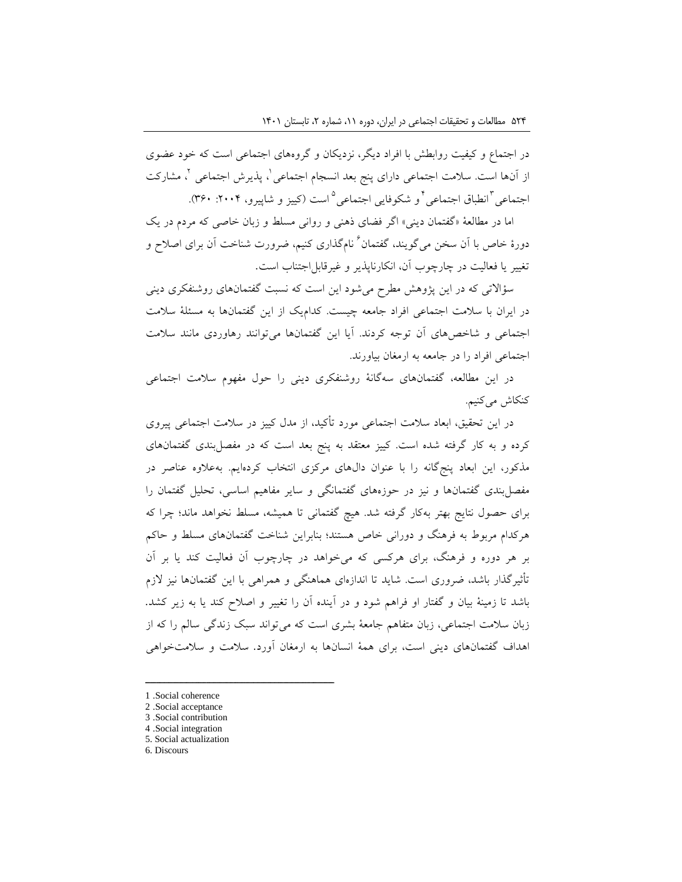در اجتماع و کیفیت روابطش با افراد دیگر، نزدیکان و گروههای اجتماعی است که خود عضوی ز أنها است. سلامت اجتماعی دارای پنج بعد انسجام اجتماعی`، پذیرش اجتماعی `، مشارکت جتماعی<sup>۲</sup>انطباق اجتماعی<sup>۲</sup>و شکوفایی اجتماعی<sup>۵</sup>است (کییز و شاپیرو، ۲۰۰۴: ۳۶۰).

اما در مطالعۀ »گفتمان دینی« اگر فضای ذهنی و روانی مسلط و زبان خاصی که مردم در یک دورهٔ خاص با آن سخن میگویند. گفتمان<sup>۲</sup> نامگذاری کنیم. ضرورت شناخت آن برای اصلاح و تغییر یا فعالیت در چارچوب آن، انکارناپذیر و غیرقابلاجتناب است.

سؤاالتی که در این پژوهش مطرح میشود این است که نسبت گفتمانهای روشنفکری دینی در ایران با سالمت اجتماعی افراد جامعه چیست. کدامیک از این گفتمانها به مسئلۀ سالمت اجتماعی و شاخصهای آن توجه کردند. آیا این گفتمانها میتوانند رهاوردی مانند سالمت اجتماعی افراد را در جامعه به ارمغان بیاورند.

در این مطالعه، گفتمانهای سهگانۀ روشنفکری دینی را حول مفهوم سالمت اجتماعی کنکاش میکنیم.

در این تحقیق، ابعاد سالمت اجتماعی مورد تأکید، از مدل کییز در سالمت اجتماعی پیروی کرده و به کار گرفته شده است. کییز معتقد به پنج بعد است که در مفصلبندی گفتمانهای مذکور، این ابعاد پنجگانه را با عنوان دالهای مرکزی انتخاب کردهایم. بهعالوه عناصر در مفصلبندی گفتمانها و نیز در حوزههای گفتمانگی و سایر مفاهیم اساسی، تحلیل گفتمان را برای حصول نتایج بهتر بهکار گرفته شد. هیچ گفتمانی تا همیشه، مسلط نخواهد ماند؛ چرا که هرکدام مربوط به فرهنگ و دورانی خاص هستند؛ بنابراین شناخت گفتمانهای مسلط و حاکم بر هر دوره و فرهنگ، برای هرکسی که میخواهد در چارچوب آن فعالیت کند یا بر آن تأثیرگذار باشد، ضروری است. شاید تا اندازهای هماهنگی و همراهی با این گفتمانها نیز الزم باشد تا زمینۀ بیان و گفتار او فراهم شود و در آینده آن را تغییر و اصالح کند یا به زیر کشد. زبان سالمت اجتماعی، زبان متفاهم جامعۀ بشری است که میتواند سبک زندگی سالم را که از اهداف گفتمانهای دینی است، برای همۀ انسانها به ارمغان آورد. سالمت و سالمتخواهی

- 3 .Social contribution
- 4 .Social integration
- 5. Social actualization
- 6. Discours

<sup>1</sup> .Social coherence

<sup>2</sup> .Social acceptance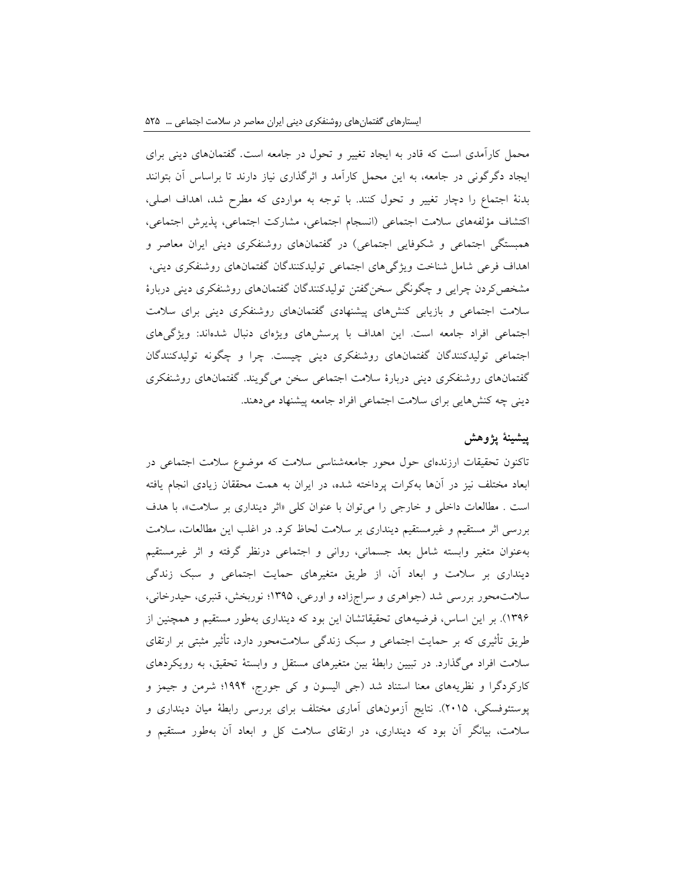محمل کارآمدی است که قادر به ایجاد تغییر و تحول در جامعه است. گفتمانهای دینی برای ایجاد دگرگونی در جامعه، به این محمل کارآمد و اثرگذاری نیاز دارند تا براساس آن بتوانند بدنۀ اجتماع را دچار تغییر و تحول کنند. با توجه به مواردی که مطرح شد، اهداف اصلی، اکتشاف مؤلفههای سالمت اجتماعی )انسجام اجتماعی، مشارکت اجتماعی، پذیرش اجتماعی، همبستگی اجتماعی و شکوفایی اجتماعی) در گفتمانهای روشنفکری دینی ایران معاصر و اهداف فرعی شامل شناخت ویژگیهای اجتماعی تولیدکنندگان گفتمانهای روشنفکری دینی، مشخصکردن چرایی و چگونگی سخنگفتن تولیدکنندگان گفتمانهای روشنفکری دینی دربارۀ سالمت اجتماعی و بازیابی کنشهای پیشنهادی گفتمانهای روشنفکری دینی برای سالمت اجتماعی افراد جامعه است. این اهداف با پرسشهای ویژهای دنبال شدهاند: ویژگیهای اجتماعی تولیدکنندگان گفتمانهای روشنفکری دینی چیست. چرا و چگونه تولیدکنندگان گفتمانهای روشنفکری دینی دربارۀ سالمت اجتماعی سخن میگویند. گفتمانهای روشنفکری دینی چه کنشهایی برای سالمت اجتماعی افراد جامعه پیشنهاد میدهند.

### **پیشینۀ پژوهش**

تاکنون تحقیقات ارزندهای حول محور جامعهشناسی سالمت که موضوع سالمت اجتماعی در ابعاد مختلف نیز در آنها بهکرات پرداخته شده، در ایران به همت محققان زیادی انجام یافته است . مطالعات داخلی و خارجی را می توان با عنوان کلی «اثر دینداری بر سلامت»، با هدف بررسی اثر مستقیم و غیرمستقیم دینداری بر سالمت لحاظ کرد. در اغلب این مطالعات، سالمت بهعنوان متغیر وابسته شامل بعد جسمانی، روانی و اجتماعی درنظر گرفته و اثر غیرمستقیم دینداری بر سالمت و ابعاد آن، از طریق متغیرهای حمایت اجتماعی و سبک زندگی سالمتمحور بررسی شد )جواهری و سراجزاده و اورعی، 1395؛ نوربخش، قنبری، حیدرخانی، 1396(. بر این اساس، فرضیههای تحقیقاتشان این بود که دینداری بهطور مستقیم و همچنین از طریق تأثیری که بر حمایت اجتماعی و سبک زندگی سالمتمحور دارد، تأثیر مثبتی بر ارتقای سالمت افراد میگذارد. در تبیین رابطۀ بین متغیرهای مستقل و وابستۀ تحقیق، به رویکردهای کارکردگرا و نظریههای معنا استناد شد )جی الیسون و کی جورج، 1994؛ شرمن و جیمز و پوستئوفسکی، 2015(. نتایج آزمونهای آماری مختلف برای بررسی رابطۀ میان دینداری و سالمت، بیانگر آن بود که دینداری، در ارتقای سالمت کل و ابعاد آن بهطور مستقیم و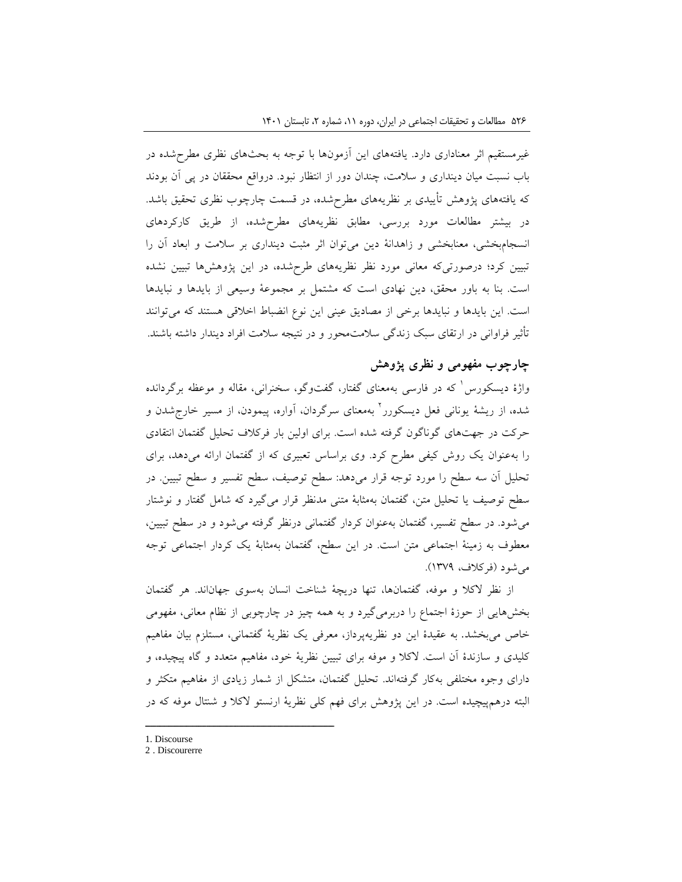غیرمستقیم اثر معناداری دارد. یافتههای این آزمونها با توجه به بحثهای نظری مطرحشده در باب نسبت میان دینداری و سالمت، چندان دور از انتظار نبود. درواقع محققان در پی آن بودند که یافتههای پژوهش تأییدی بر نظریههای مطرحشده، در قسمت چارچوب نظری تحقیق باشد. در بیشتر مطالعات مورد بررسی، مطابق نظریههای مطرحشده، از طریق کارکردهای انسجامبخشی، معنابخشی و زاهدانۀ دین میتوان اثر مثبت دینداری بر سالمت و ابعاد آن را تبیین کرد؛ درصورتیکه معانی مورد نظر نظریههای طرحشده، در این پژوهشها تبیین نشده است. بنا به باور محقق، دین نهادی است که مشتمل بر مجموعۀ وسیعی از بایدها و نبایدها است. این بایدها و نبایدها برخی از مصادیق عینی این نوع انضباط اخالقی هستند که میتوانند تأثیر فراوانی در ارتقای سبک زندگی سالمتمحور و در نتیجه سالمت افراد دیندار داشته باشند.

## **چارچوب مفهومی و نظری پژوهش**

واژهٔ دیسکورس ٰ که در فارسی بهمعنای گفتار، گفتوگو، سخنرانی، مقاله و موعظه برگردانده شده، از ریشۀ یونانی فعل دیسکورر<sup>٬</sup> بهمعنای سرگردان، آواره، پیمودن، از مسیر خارجشدن و حرکت در جهتهای گوناگون گرفته شده است. برای اولین بار فرکالف تحلیل گفتمان انتقادی را بهعنوان یک روش کیفی مطرح کرد. وی براساس تعبیری که از گفتمان ارائه میدهد، برای تحلیل آن سه سطح را مورد توجه قرار میدهد: سطح توصیف، سطح تفسیر و سطح تبیین. در سطح توصیف یا تحلیل متن، گفتمان بهمثابۀ متنی مدنظر قرار میگیرد که شامل گفتار و نوشتار میشود. در سطح تفسیر، گفتمان بهعنوان کردار گفتمانی درنظر گرفته میشود و در سطح تبیین، معطوف به زمینۀ اجتماعی متن است. در این سطح، گفتمان بهمثابۀ یک کردار اجتماعی توجه میشود )فرکالف، 1379(.

از نظر الکال و موفه، گفتمانها، تنها دریچۀ شناخت انسان بهسوی جهاناند. هر گفتمان بخشهایی از حوزۀ اجتماع را دربرمیگیرد و به همه چیز در چارچوبی از نظام معانی، مفهومی خاص میبخشد. به عقیدۀ این دو نظریهپرداز، معرفی یک نظریۀ گفتمانی، مستلزم بیان مفاهیم کلیدی و سازندۀ آن است. الکال و موفه برای تبیین نظریۀ خود، مفاهیم متعدد و گاه پیچیده، و دارای وجوه مختلفی بهکار گرفتهاند. تحلیل گفتمان، متشکل از شمار زیادی از مفاهیم متکثر و البته درهمپیچیده است. در این پژوهش برای فهم کلی نظریۀ ارنستو الکال و شنتال موفه که در

<sup>1.</sup> Discourse

<sup>2</sup> . Discourerre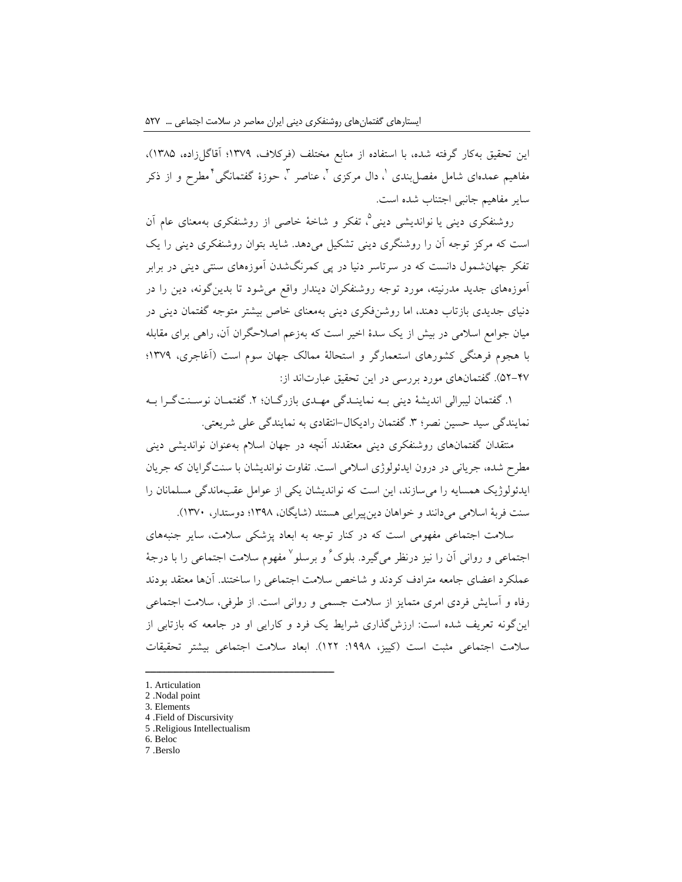این تحقیق بهکار گرفته شده، با استفاده از منابع مختلف (فرکلاف، ۱۳۷۹؛ آقاگل زاده، ۱۳۸۵)، مفاهیم عمدهای شامل مفصل بندی '، دال مرکزی '، عناصر '، حوزۀ گفتمانگی' مطرح و از ذکر سایر مفاهیم جانبی اجتناب شده است.

روشنفکری دینی یا نواندیشی دینی°، تفکر و شاخۀ خاصی از روشنفکری بهمعنای عام اَن است که مرکز توجه آن را روشنگری دینی تشکیل میدهد. شاید بتوان روشنفکری دینی را یک تفکر جهانشمول دانست که در سرتاسر دنیا در پی کمرنگشدن آموزههای سنتی دینی در برابر آموزههای جدید مدرنیته، مورد توجه روشنفکران دیندار واقع میشود تا بدینگونه، دین را در دنیای جدیدی بازتاب دهند، اما روشنفکری دینی بهمعنای خاص بیشتر متوجه گفتمان دینی در میان جوامع اسالمی در بیش از یک سدۀ اخیر است که بهزعم اصالحگران آن، راهی برای مقابله با هجوم فرهنگی کشورهای استعمارگر و استحالۀ ممالک جهان سوم است )آغاجری، 1379؛ 52-47(. گفتمانهای مورد بررسی در این تحقیق عبارتاند از:

۱. گفتمان لیبرالی اندیشۀ دینی بــه نماینــدگی مهــدی بازرگــان؛ ۲. گفتمــان نوســنتگــرا بــه نمایندگی سید حسین نصر؛ ۳. گفتمان رادیکال-انتقادی به نمایندگی علی شریعتی.

منتقدان گفتمانهای روشنفکری دینی معتقدند آنچه در جهان اسالم بهعنوان نواندیشی دینی مطرح شده، جریانی در درون ایدئولوژی اسالمی است. تفاوت نواندیشان با سنتگرایان که جریان ایدئولوژیک همسایه را میسازند، این است که نواندیشان یکی از عوامل عقبماندگی مسلمانان را سنت فربهٔ اسلامی می دانند و خواهان دین پیرایی هستند (شایگان، ۱۳۹۸؛ دوستدار، ۱۳۷۰).

سالمت اجتماعی مفهومی است که در کنار توجه به ابعاد پزشکی سالمت، سایر جنبههای جتماعی و روانی اَن را نیز درنظر میگیرد. بلوک ٔ و برسلو ٔ مفهوم سلامت اجتماعی را با درجهٔ عملکرد اعضای جامعه مترادف کردند و شاخص سالمت اجتماعی را ساختند. آنها معتقد بودند رفاه و آسایش فردی امری متمایز از سالمت جسمی و روانی است. از طرفی، سالمت اجتماعی اینگونه تعریف شده است: ارزشگذاری شرایط یک فرد و کارایی او در جامعه که بازتابی از سلامت اجتماعی مثبت است (کییز، ۱۹۹۸: ۱۲۲). ابعاد سلامت اجتماعی بیشتر تحقیقات

- 2 .Nodal point 3. Elements
- 
- 4 .Field of Discursivity 5 .Religious Intellectualism

- 6. Beloc
- 7 .Berslo

<sup>1.</sup> Articulation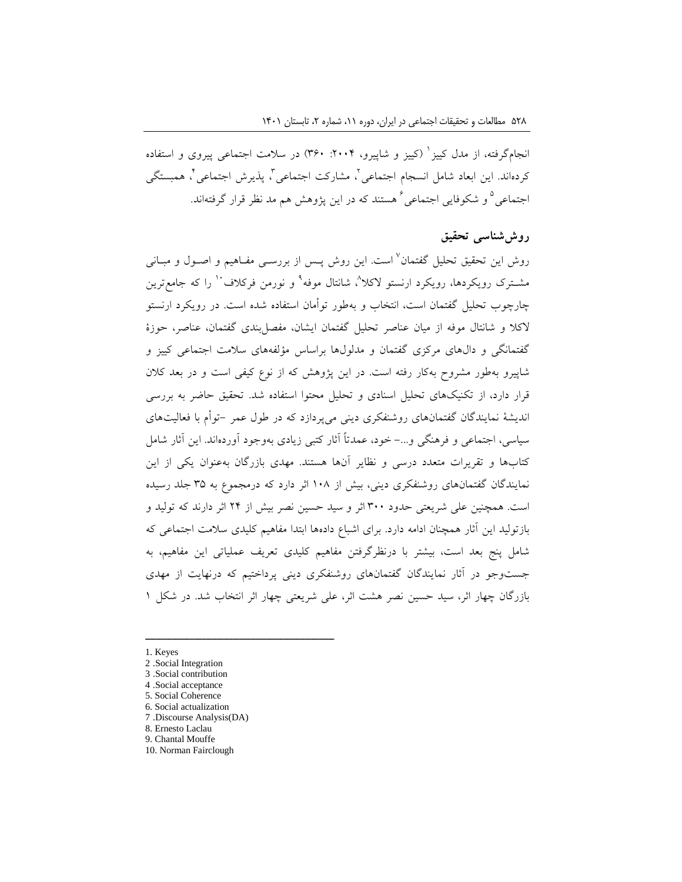نجامگرفته، از مدل کییز ٰ (کییز و شاپیرو، ۲۰۰۴: ۳۶۰) در سلامت اجتماعی پیروی و استفاده کردهاند. این ابعاد شامل انسجام اجتماعی ٰ، مشارکت اجتماعی ٰ، پذیرش اجتماعی ٰ، همبستگی جتماعی<sup>0</sup> و شکوفایی اجتماعی<sup>۶</sup> هستند که در این پژوهش هم مد نظر قرار گرفتهاند.

## **روششناسی تحقیق**

روش این تحقیق تحلیل گفتمان<sup>۷</sup> است. این روش پــس از بررســی مفــاهیم و اصــول و مبــانی مشــترک رویکردها، رویکرد ارنستو لاکلا<sup>^</sup>، شانتال موفه<sup>۹</sup> و نورمن فرکلاف <sup>۱۰</sup> را که جامعترین چارچوب تحلیل گفتمان است، انتخاب و بهطور توأمان استفاده شده است. در رویکرد ارنستو الکال و شانتال موفه از میان عناصر تحلیل گفتمان ایشان، مفصلبندی گفتمان، عناصر، حوزۀ گفتمانگی و دالهای مرکزی گفتمان و مدلولها براساس مؤلفههای سالمت اجتماعی کییز و شاپیرو بهطور مشروح بهکار رفته است. در این پژوهش که از نوع کیفی است و در بعد کالن قرار دارد، از تکنیکهای تحلیل اسنادی و تحلیل محتوا استفاده شد. تحقیق حاضر به بررسی اندیشۀ نمایندگان گفتمانهای روشنفکری دینی میپردازد که در طول عمر -توأم با فعالیتهای سیاسی، اجتماعی و فرهنگی و-... خود، عمدتاً آثار کتبی زیادی بهوجود آوردهاند. این آثار شامل کتابها و تقریرات متعدد درسی و نظایر آنها هستند. مهدی بازرگان بهعنوان یکی از این نمایندگان گفتمانهای روشنفکری دینی، بیش از 108 اثر دارد که درمجموع به 35 جلد رسیده است. همچنین علی شریعتی حدود 300 اثر و سید حسین نصر بیش از 24 اثر دارند که تولید و بازتولید این آثار همچنان ادامه دارد. برای اشباع دادهها ابتدا مفاهیم کلیدی سالمت اجتماعی که شامل پنج بعد است، بیشتر با درنظرگرفتن مفاهیم کلیدی تعریف عملیاتی این مفاهیم، به جستوجو در آثار نمایندگان گفتمانهای روشنفکری دینی پرداختیم که درنهایت از مهدی بازرگان چهار اثر، سید حسین نصر هشت اثر، علی شریعتی چهار اثر انتخاب شد. در شکل 1

- 1. Keyes
- 2 .Social Integration

- 3 .Social contribution
- 4 .Social acceptance
- 5. Social Coherence
- 6. Social actualization 7 .Discourse Analysis(DA)
- 8. Ernesto Laclau
- 9. Chantal Mouffe
- 10. Norman Fairclough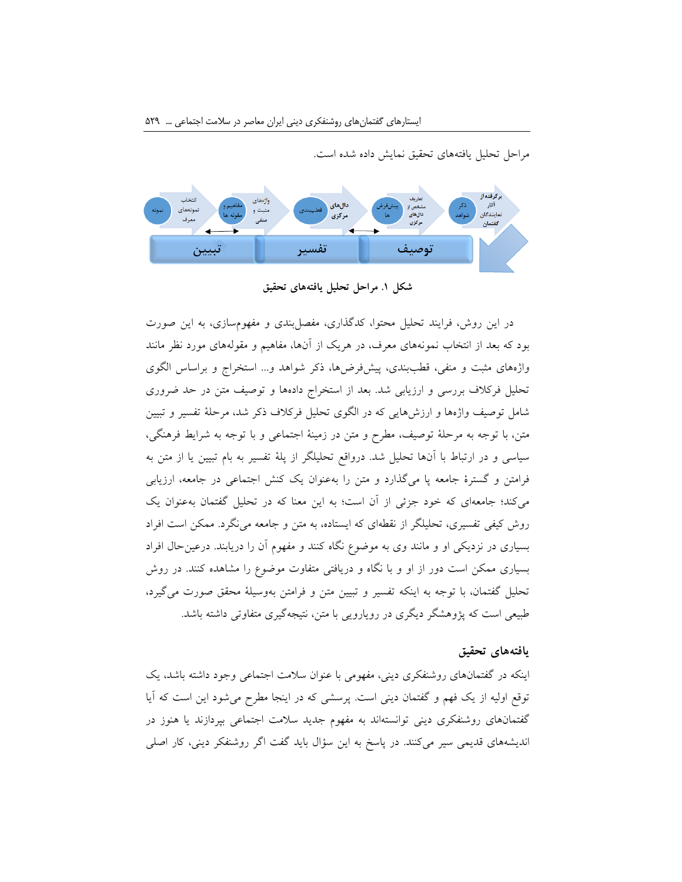مراحل تحلیل یافتههای تحقیق نمایش داده شده است.



**شکل .1 مراحل تحلیل یافتههای تحقیق**

در این روش، فرایند تحلیل محتوا، کدگذاری، مفصلبندی و مفهومسازی، به این صورت بود که بعد از انتخاب نمونههای معرف، در هریک از آنها، مفاهیم و مقولههای مورد نظر مانند واژههای مثبت و منفی، قطببندی، پیشفرضها، ذکر شواهد و... استخراج و براساس الگوی تحلیل فرکالف بررسی و ارزیابی شد. بعد از استخراج دادهها و توصیف متن در حد ضروری شامل توصیف واژهها و ارزشهایی که در الگوی تحلیل فرکالف ذکر شد، مرحلۀ تفسیر و تبیین متن، با توجه به مرحلۀ توصیف، مطرح و متن در زمینۀ اجتماعی و با توجه به شرایط فرهنگی، سیاسی و در ارتباط با آنها تحلیل شد. درواقع تحلیلگر از پلۀ تفسیر به بام تبیین یا از متن به فرامتن و گسترۀ جامعه پا میگذارد و متن را بهعنوان یک کنش اجتماعی در جامعه، ارزیابی میکند؛ جامعهای که خود جزئی از آن است؛ به این معنا که در تحلیل گفتمان بهعنوان یک روش کیفی تفسیری، تحلیلگر از نقطهای که ایستاده، به متن و جامعه مینگرد. ممکن است افراد بسیاری در نزدیکی او و مانند وی به موضوع نگاه کنند و مفهوم آن را دریابند. درعینحال افراد بسیاری ممکن است دور از او و با نگاه و دریافتی متفاوت موضوع را مشاهده کنند. در روش تحلیل گفتمان، با توجه به اینکه تفسیر و تبیین متن و فرامتن بهوسیلۀ محقق صورت میگیرد، طبیعی است که پژوهشگر دیگری در رویارویی با متن، نتیجهگیری متفاوتی داشته باشد.

### **یافتههای تحقیق**

اینکه در گفتمانهای روشنفکری دینی، مفهومی با عنوان سالمت اجتماعی وجود داشته باشد، یک توقع اولیه از یک فهم و گفتمان دینی است. پرسشی که در اینجا مطرح میشود این است که آیا گفتمانهای روشنفکری دینی توانستهاند به مفهوم جدید سالمت اجتماعی بپردازند یا هنوز در اندیشههای قدیمی سیر میکنند. در پاسخ به این سؤال باید گفت اگر روشنفکر دینی، کار اصلی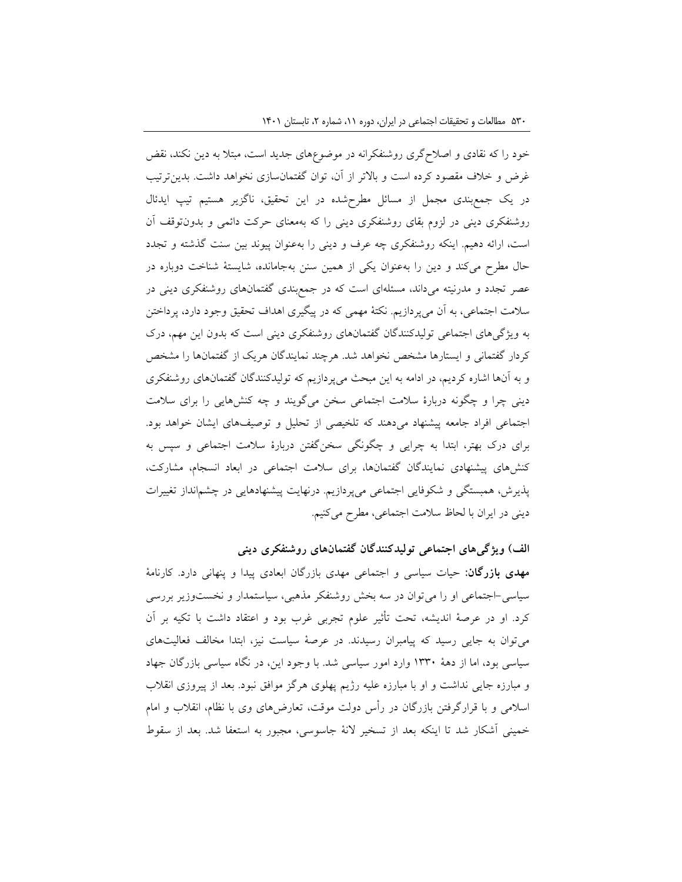خود را که نقادی و اصالحگری روشنفکرانه در موضوعهای جدید است، مبتال به دین نکند، نقض غرض و خالف مقصود کرده است و باالتر از آن، توان گفتمانسازی نخواهد داشت. بدینترتیب در یک جمعبندی مجمل از مسائل مطرحشده در این تحقیق، ناگزیر هستیم تیپ ایدئال روشنفکری دینی در لزوم بقای روشنفکری دینی را که بهمعنای حرکت دائمی و بدونتوقف آن است، ارائه دهیم. اینکه روشنفکری چه عرف و دینی را بهعنوان پیوند بین سنت گذشته و تجدد حال مطرح میکند و دین را بهعنوان یکی از همین سنن بهجامانده، شایستۀ شناخت دوباره در عصر تجدد و مدرنیته میداند، مسئلهای است که در جمعبندی گفتمانهای روشنفکری دینی در سالمت اجتماعی، به آن میپردازیم. نکتۀ مهمی که در پیگیری اهداف تحقیق وجود دارد، پرداختن به ویژگیهای اجتماعی تولیدکنندگان گفتمانهای روشنفکری دینی است که بدون این مهم، درک کردار گفتمانی و ایستارها مشخص نخواهد شد. هرچند نمایندگان هریک از گفتمانها را مشخص و به آنها اشاره کردیم، در ادامه به این مبحث میپردازیم که تولیدکنندگان گفتمانهای روشنفکری دینی چرا و چگونه دربارۀ سالمت اجتماعی سخن میگویند و چه کنشهایی را برای سالمت اجتماعی افراد جامعه پیشنهاد میدهند که تلخیصی از تحلیل و توصیفهای ایشان خواهد بود. برای درک بهتر، ابتدا به چرایی و چگونگی سخنگفتن دربارۀ سالمت اجتماعی و سپس به کنشهای پیشنهادی نمایندگان گفتمانها، برای سالمت اجتماعی در ابعاد انسجام، مشارکت، پذیرش، همبستگی و شکوفایی اجتماعی میپردازیم. درنهایت پیشنهادهایی در چشمانداز تغییرات دینی در ایران با لحاظ سالمت اجتماعی، مطرح میکنیم.

## **الف( ویژگیهای اجتماعی تولیدکنندگان گفتمانهای روشنفکری دینی**

**مهدی بازرگان:** حیات سیاسی و اجتماعی مهدی بازرگان ابعادی پیدا و پنهانی دارد. کارنامۀ سیاسی-اجتماعی او را میتوان در سه بخش روشنفکر مذهبی، سیاستمدار و نخستوزیر بررسی کرد. او در عرصۀ اندیشه، تحت تأثیر علوم تجربی غرب بود و اعتقاد داشت با تکیه بر آن میتوان به جایی رسید که پیامبران رسیدند. در عرصۀ سیاست نیز، ابتدا مخالف فعالیتهای سیاسی بود، اما از دهۀ 1330 وارد امور سیاسی شد. با وجود این، در نگاه سیاسی بازرگان جهاد و مبارزه جایی نداشت و او با مبارزه علیه رژیم پهلوی هرگز موافق نبود. بعد از پیروزی انقالب اسالمی و با قرارگرفتن بازرگان در رأس دولت موقت، تعارضهای وی با نظام، انقالب و امام خمینی آشکار شد تا اینکه بعد از تسخیر النۀ جاسوسی، مجبور به استعفا شد. بعد از سقوط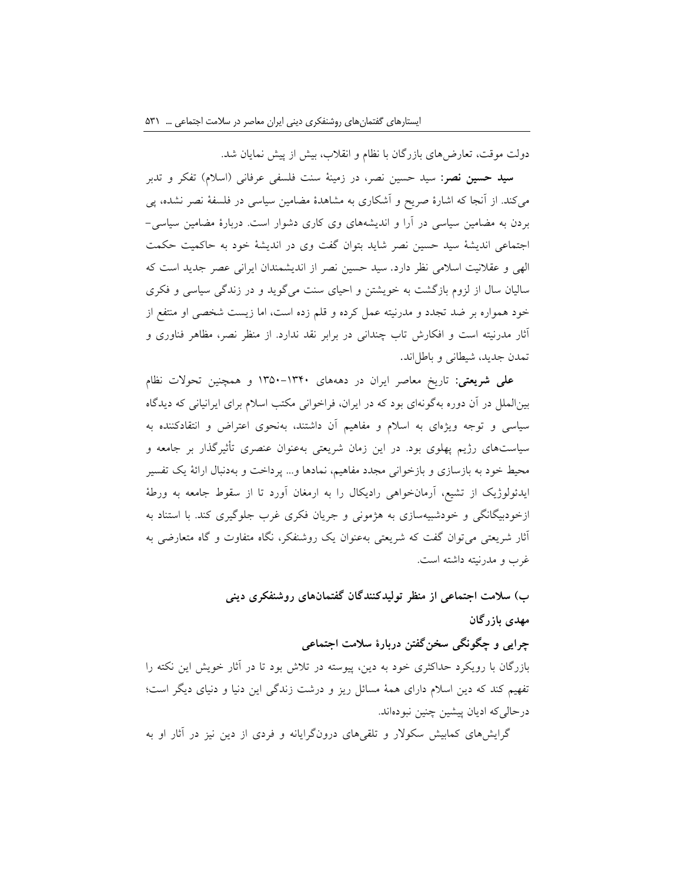دولت موقت، تعارضهای بازرگان با نظام و انقالب، بیش از پیش نمایان شد.

**سید حسین نصر:** سید حسین نصر، در زمینۀ سنت فلسفی عرفانی )اسالم( تفکر و تدبر میکند. از آنجا که اشارۀ صریح و آشکاری به مشاهدۀ مضامین سیاسی در فلسفۀ نصر نشده، پی بردن به مضامین سیاسی در آرا و اندیشههای وی کاری دشوار است. دربارۀ مضامین سیاسی- اجتماعی اندیشۀ سید حسین نصر شاید بتوان گفت وی در اندیشۀ خود به حاکمیت حکمت الهی و عقالنیت اسالمی نظر دارد. سید حسین نصر از اندیشمندان ایرانی عصر جدید است که سالیان سال از لزوم بازگشت به خویشتن و احیای سنت میگوید و در زندگی سیاسی و فکری خود همواره بر ضد تجدد و مدرنیته عمل کرده و قلم زده است، اما زیست شخصی او منتفع از آثار مدرنیته است و افکارش تاب چندانی در برابر نقد ندارد. از منظر نصر، مظاهر فناوری و تمدن جدید، شیطانی و باطلاند.

**علی شریعتی:** تاریخ معاصر ایران در دهههای 1350-1340 و همچنین تحوالت نظام بینالملل در آن دوره بهگونهای بود که در ایران، فراخوانی مکتب اسالم برای ایرانیانی که دیدگاه سیاسی و توجه ویژهای به اسالم و مفاهیم آن داشتند، بهنحوی اعتراض و انتقادکننده به سیاستهای رژیم پهلوی بود. در این زمان شریعتی بهعنوان عنصری تأثیرگذار بر جامعه و محیط خود به بازسازی و بازخوانی مجدد مفاهیم، نمادها و... پرداخت و بهدنبال ارائۀ یک تفسیر ایدئولوژیک از تشیع، آرمانخواهی رادیکال را به ارمغان آورد تا از سقوط جامعه به ورطۀ ازخودبیگانگی و خودشبیهسازی به هژمونی و جریان فکری غرب جلوگیری کند. با استناد به آثار شریعتی میتوان گفت که شریعتی بهعنوان یک روشنفکر، نگاه متفاوت و گاه متعارضی به غرب و مدرنیته داشته است.

# **ب( سالمت اجتماعی از منظر تولیدکنندگان گفتمانهای روشنفکری دینی مهدی بازرگان**

# **چرایی و چگونگی سخنگفتن دربارۀ سالمت اجتماعی**

بازرگان با رویکرد حداکثری خود به دین، پیوسته در تالش بود تا در آثار خویش این نکته را تفهیم کند که دین اسالم دارای همۀ مسائل ریز و درشت زندگی این دنیا و دنیای دیگر است؛ درحالیکه ادیان پیشین چنین نبودهاند.

گرایشهای کمابیش سکوالر و تلقیهای درونگرایانه و فردی از دین نیز در آثار او به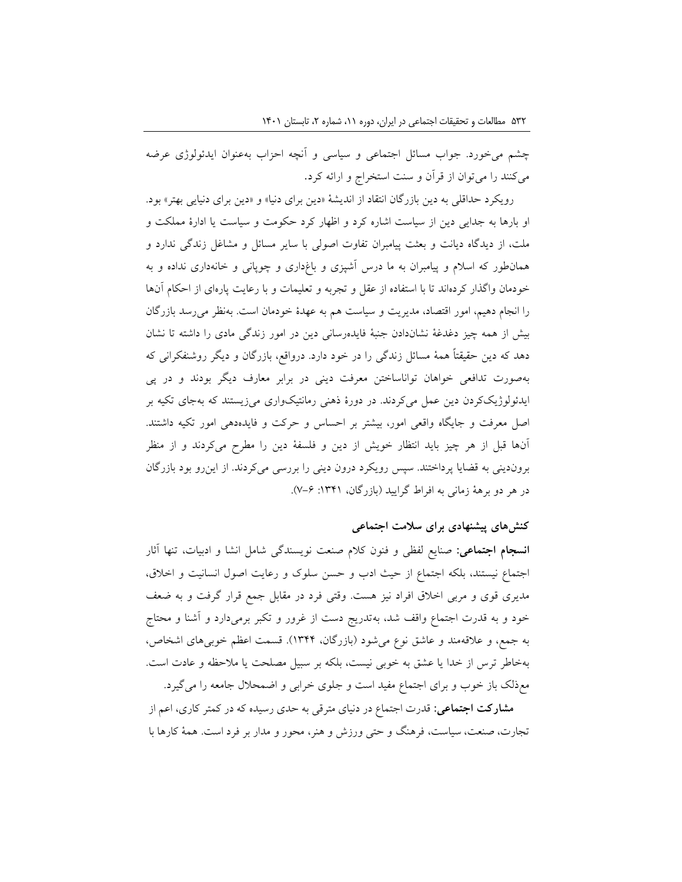چشم میخورد. جواب مسائل اجتماعی و سیاسی و آنچه احزاب بهعنوان ایدئولوژی عرضه میکنند را میتوان از قرآن و سنت استخراج و ارائه کرد.

رویکرد حداقلی به دین بازرگان انتقاد از اندیشۀ «دین برای دنیا» و «دین برای دنیایی بهتر» بود. او بارها به جدایی دین از سیاست اشاره کرد و اظهار کرد حکومت و سیاست یا ادارۀ مملکت و ملت، از دیدگاه دیانت و بعثت پیامبران تفاوت اصولى با سایر مسائل و مشاغل زندگى ندارد و همانطور که اسالم و پیامبران به ما درس آشپزى و باغدارى و چوپانى و خانهدارى نداده و به خودمان واگذار کردهاند تا با استفاده از عقل و تجربه و تعلیمات و با رعایت پارهای از احکام آنها را انجام دهیم، امور اقتصاد، مدیریت و سیاست هم به عهدۀ خودمان است. بهنظر میرسد بازرگان بیش از همه چیز دغدغۀ نشاندادن جنبۀ فایدهرسانی دین در امور زندگی مادی را داشته تا نشان دهد که دین حقیقتاً همۀ مسائل زندگی را در خود دارد. درواقع، بازرگان و دیگر روشنفکرانى که بهصورت تدافعى خواهان تواناساختن معرفت دینى در برابر معارف دیگر بودند و در پی ایدئولوژیککردن دین عمل میکردند. در دورۀ ذهنی رمانتیکواری میزیستند که بهجای تکیه بر اصل معرفت و جایگاه واقعی امور، بیشتر بر احساس و حرکت و فایدهدهی امور تکیه داشتند. آنها قبل از هر چیز باید انتظار خویش از دین و فلسفۀ دین را مطرح میکردند و از منظر بروندینی به قضایا پرداختند. سپس رویکرد درون دینی را بررسی میکردند. از اینرو بود بازرگان در هر دو برهۀ زمانی به افراط گرایید )بازرگان، :1341 7-6(.

### **کنشهای پیشنهادی برای سالمت اجتماعی**

**انسجام اجتماعی:** صنایع لفظی و فنون کالم صنعت نویسندگی شامل انشا و ادبیات، تنها آثار اجتماع نیستند، بلکه اجتماع از حیث ادب و حسن سلوک و رعایت اصول انسانیت و اخالق، مدیری قوی و مربی اخالق افراد نیز هست. وقتی فرد در مقابل جمع قرار گرفت و به ضعف خود و به قدرت اجتماع واقف شد، بهتدریج دست از غرور و تکبر برمیدارد و آشنا و محتاج به جمع، و عالقهمند و عاشق نوع میشود )بازرگان، 1344(. قسمت اعظم خوبیهای اشخاص، بهخاطر ترس از خدا یا عشق به خوبی نیست، بلکه بر سبیل مصلحت یا مالحظه و عادت است. معذلک باز خوب و برای اجتماع مفید است و جلوی خرابی و اضمحالل جامعه را میگیرد.

**مشارکت اجتماعی:** قدرت اجتماع در دنیای مترقی به حدی رسیده که در کمتر کاری، اعم از تجارت، صنعت، سیاست، فرهنگ و حتی ورزش و هنر، محور و مدار بر فرد است. همۀ کارها با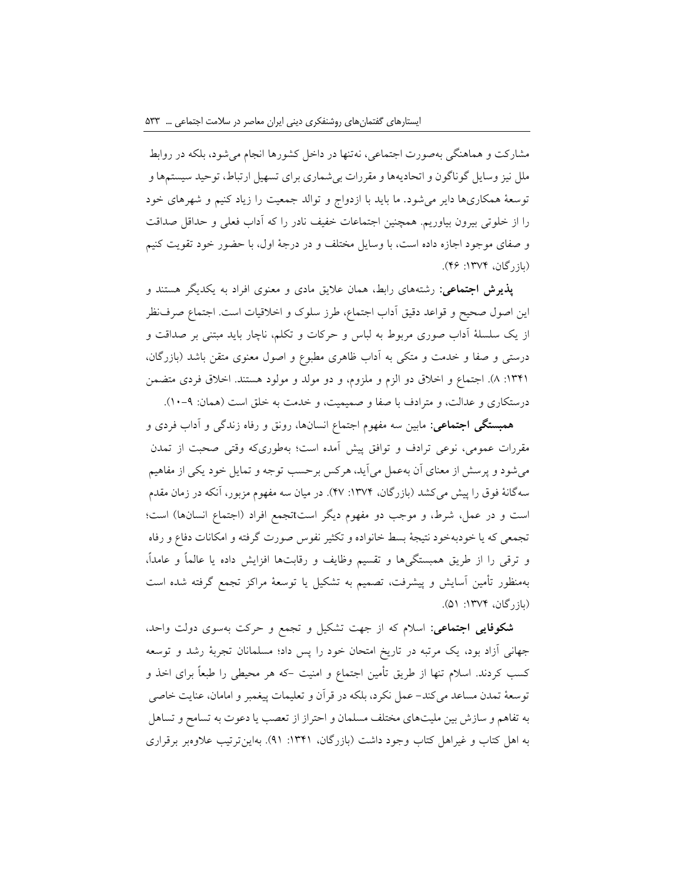مشارکت و هماهنگی بهصورت اجتماعی، نهتنها در داخل کشورها انجام میشود، بلکه در روابط ملل نیز وسایل گوناگون و اتحادیهها و مقررات بیشماری برای تسهیل ارتباط، توحید سیستمها و توسعۀ همکاریها دایر میشود. ما باید با ازدواج و توالد جمعیت را زیاد کنیم و شهرهای خود را از خلوتی بیرون بیاوریم. همچنین اجتماعات خفیف نادر را که آداب فعلی و حداقل صداقت و صفای موجود اجازه داده است، با وسایل مختلف و در درجۀ اول، با حضور خود تقویت کنیم (بازرگان، ۱۳۷۴: ۴۶).

**پذیرش اجتماعی:** رشتههای رابط، همان عالیق مادی و معنوی افراد به یکدیگر هستند و این اصول صحیح و قواعد دقیق آداب اجتماع، طرز سلوک و اخالقیات است. اجتماع صرفنظر از یک سلسلۀ آداب صوری مربوط به لباس و حرکات و تکلم، ناچار باید مبتنی بر صداقت و درستی و صفا و خدمت و متکی به آداب ظاهری مطبوع و اصول معنوی متقن باشد )بازرگان، :1341 8(. اجتماع و اخالق دو الزم و ملزوم، و دو مولد و مولود هستند. اخالق فردی متضمن درستکاری و عدالت، و مترادف با صفا و صمیمیت، و خدمت به خلق است (همان: ۹-۱۰).

**همبستگی اجتماعی:** مابین سه مفهوم اجتماع انسانها، رونق و رفاه زندگی و آداب فردی و مقررات عمومی، نوعی ترادف و توافق پیش آمده است؛ بهطوریکه وقتی صحبت از تمدن میشود و پرسش از معنای آن بهعمل میآید، هرکس برحسب توجه و تمایل خود یکی از مفاهیم سهگانۀ فوق را پیش میکشد )بازرگان، :1374 47(. در میان سه مفهوم مزبور، آنکه در زمان مقدم است و در عمل، شرط، و موجب دو مفهوم دیگر است±تجمع افراد (اجتماع انسانها) است؛ تجمعی که یا خودبهخود نتیجۀ بسط خانواده و تکثیر نفوس صورت گرفته و امکانات دفاع و رفاه و ترقی را از طریق همبستگیها و تقسیم وظایف و رقابتها افزایش داده یا عالماً و عامدا،ً بهمنظور تأمین آسایش و پیشرفت، تصمیم به تشکیل یا توسعۀ مراکز تجمع گرفته شده است (بازرگان، ۱۳۷۴: ۵۱).

**شکوفایی اجتماعی:** اسالم که از جهت تشکیل و تجمع و حرکت بهسوی دولت واحد، جهانی آزاد بود، یک مرتبه در تاریخ امتحان خود را پس داد؛ مسلمانان تجربۀ رشد و توسعه کسب کردند. اسالم تنها از طریق تأمین اجتماع و امنیت -که هر محیطی را طبعاً برای اخذ و توسعۀ تمدن مساعد میکند- عمل نکرد، بلکه در قرآن و تعلیمات پیغمبر و امامان، عنایت خاصی به تفاهم و سازش بین ملیتهای مختلف مسلمان و احتراز از تعصب یا دعوت به تسامح و تساهل به اهل کتاب و غیراهل کتاب وجود داشت )بازرگان، :1341 91(. بهاینترتیب عالوهبر برقراری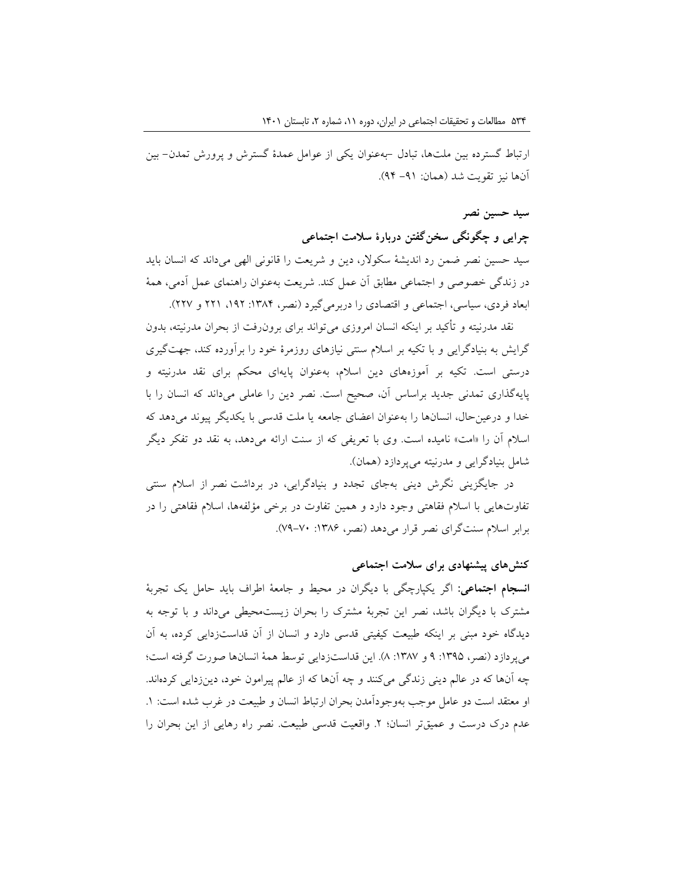ارتباط گسترده بین ملتها، تبادل -بهعنوان یکی از عوامل عمدۀ گسترش و پرورش تمدن- بین آنها نیز تقویت شد )همان: -91 94(.

## **سید حسین نصر**

**چرایی و چگونگی سخنگفتن دربارۀ سالمت اجتماعی**

سید حسین نصر ضمن رد اندیشۀ سکوالر، دین و شریعت را قانونی الهی میداند که انسان باید در زندگی خصوصی و اجتماعی مطابق آن عمل کند. شریعت بهعنوان راهنمای عمل آدمی، همۀ ابعاد فردی، سیاسی، اجتماعی و اقتصادی را دربرمی گیرد (نصر، ۱۳۸۴: ۱۹۲، ۲۲۱ و ۲۲۷).

نقد مدرنیته و تأکید بر اینکه انسان امروزی می تواند برای برونرفت از بحران مدرنیته، بدون گرایش به بنیادگرایی و با تکیه بر اسالم سنتی نیازهای روزمرۀ خود را برآورده کند، جهتگیری درستی است. تکیه بر آموزههای دین اسالم، بهعنوان پایهای محکم برای نقد مدرنیته و پایهگذاری تمدنی جدید براساس آن، صحیح است. نصر دین را عاملی میداند که انسان را با خدا و درعینحال، انسانها را بهعنوان اعضای جامعه یا ملت قدسی با یکدیگر پیوند میدهد که اسلام آن را «امت» نامیده است. وی با تعریفی که از سنت ارائه می دهد، به نقد دو تفکر دیگر شامل بنیادگرایی و مدرنیته میپردازد )همان(.

در جایگزینی نگرش دینی بهجای تجدد و بنیادگرایی، در برداشت نصر از اسالم سنتی تفاوتهایی با اسالم فقاهتی وجود دارد و همین تفاوت در برخی مؤلفهها، اسالم فقاهتی را در برابر اسلام سنتگرای نصر قرار می دهد (نصر، ۱۳۸۶: ۷۰-۷۹).

## **کنشهای پیشنهادی برای سالمت اجتماعی**

**انسجام اجتماعی:** اگر یکپارچگی با دیگران در محیط و جامعۀ اطراف باید حامل یک تجربۀ مشترک با دیگران باشد، نصر این تجربۀ مشترک را بحران زیستمحیطی میداند و با توجه به دیدگاه خود مبنی بر اینکه طبیعت کیفیتی قدسی دارد و انسان از آن قداستزدایی کرده، به آن می پردازد (نصر، ۱۳۹۵: ۹ و ۱۳۸۷: ۸). این قداستزدایی توسط همۀ انسانها صورت گرفته است؛ چه آنها که در عالم دینی زندگی میکنند و چه آنها که از عالم پیرامون خود، دینزدایی کردهاند. او معتقد است دو عامل موجب بهوجودآمدن بحران ارتباط انسان و طبیعت در غرب شده است: .1 عدم درک درست و عمیقتر انسان؛ ۲. واقعیت قدسی طبیعت. نصر راه رهایی از این بحران را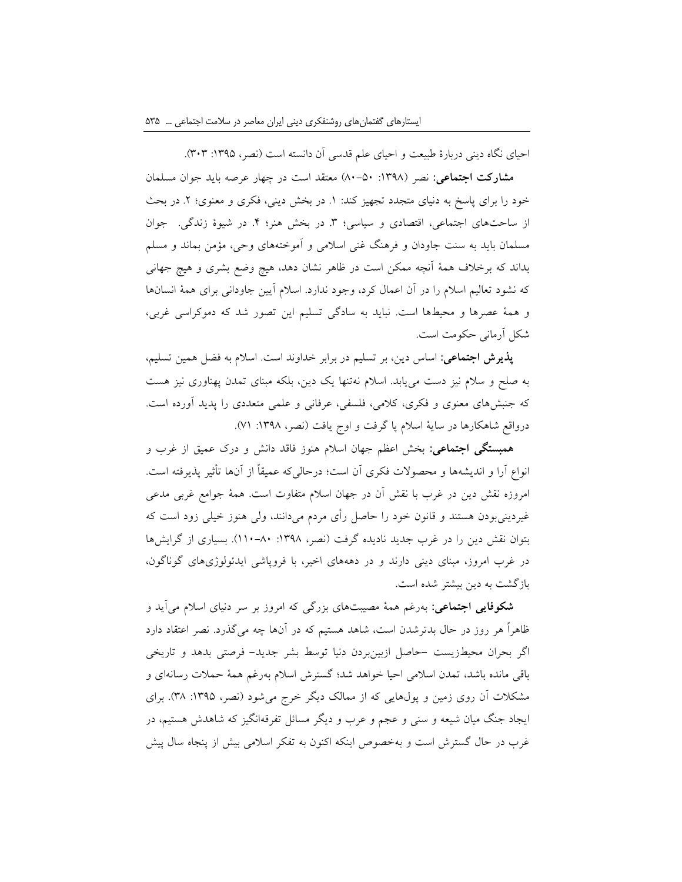احیای نگاه دینی دربارۀ طبیعت و احیای علم قدسی آن دانسته است (نصر، ١٣٩۵: ٣٠٣).

**مشارکت اجتماعی:** نصر ):1398 80-50( معتقد است در چهار عرصه باید جوان مسلمان خود را برای پاسخ به دنیای متجدد تجهیز کند: ١. در بخش دینی، فکری و معنوی؛ ٢. در بحث از ساحتهای اجتماعی، اقتصادی و سیاسی؛ ٣. در بخش هنر؛ ۴. در شیوۀ زندگی. جوان مسلمان باید به سنت جاودان و فرهنگ غنی اسالمی و آموختههای وحی، مؤمن بماند و مسلم بداند که برخالف همۀ آنچه ممکن است در ظاهر نشان دهد، هیچ وضع بشری و هیچ جهانی که نشود تعالیم اسالم را در آن اعمال کرد، وجود ندارد. اسالم آیین جاودانی برای همۀ انسانها و همۀ عصرها و محیطها است. نباید به سادگی تسلیم این تصور شد که دموکراسی غربی، شکل آرمانی حکومت است.

**پذیرش اجتماعی:** اساس دین، بر تسلیم در برابر خداوند است. اسالم به فضل همین تسلیم، به صلح و سالم نیز دست مییابد. اسالم نهتنها یک دین، بلکه مبنای تمدن پهناوری نیز هست که جنبشهای معنوی و فکری، کالمی، فلسفی، عرفانی و علمی متعددی را پدید آورده است. درواقع شاهکارها در سایۀ اسلام پا گرفت و اوج یافت (نصر، ۱۳۹۸: ۷۱).

**همبستگی اجتماعی:** بخش اعظم جهان اسالم هنوز فاقد دانش و درک عمیق از غرب و انواع آرا و اندیشهها و محصوالت فکری آن است؛ درحالیکه عمیقاً از آنها تأثیر پذیرفته است. امروزه نقش دین در غرب با نقش آن در جهان اسالم متفاوت است. همۀ جوامع غربی مدعی غیردینیبودن هستند و قانون خود را حاصل رأی مردم میدانند، ولی هنوز خیلی زود است که بتوان نقش دین را در غرب جدید نادیده گرفت )نصر، :1398 110-80(. بسیاری از گرایشها در غرب امروز، مبنای دینی دارند و در دهههای اخیر، با فروپاشی ایدئولوژیهای گوناگون، بازگشت به دین بیشتر شده است.

**شکوفایی اجتماعی:** بهرغم همۀ مصیبتهای بزرگی که امروز بر سر دنیای اسالم میآید و ظاهراً هر روز در حال بدترشدن است، شاهد هستیم که در آنها چه میگذرد. نصر اعتقاد دارد اگر بحران محیطزیست -حاصل ازبینبردن دنیا توسط بشر جدید- فرصتی بدهد و تاریخی باقی مانده باشد، تمدن اسالمی احیا خواهد شد؛ گسترش اسالم بهرغم همۀ حمالت رسانهای و مشکلات آن روی زمین و پولهایی که از ممالک دیگر خرج می شود (نصر، ۱۳۹۵: ۳۸). برای ایجاد جنگ میان شیعه و سنی و عجم و عرب و دیگر مسائل تفرقهانگیز که شاهدش هستیم، در غرب در حال گسترش است و بهخصوص اینکه اکنون به تفکر اسالمی بیش از پنجاه سال پیش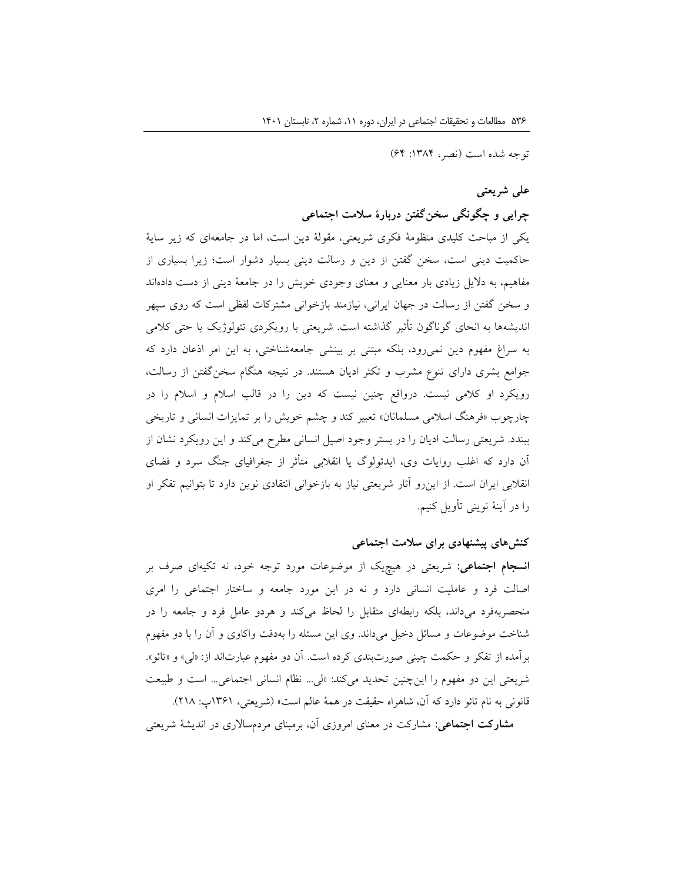توجه شده است (نصر، ١٣٨٤: ۶۴)

# **علی شریعتی**

# **چرایی و چگونگی سخنگفتن دربارۀ سالمت اجتماعی**

یکی از مباحث کلیدی منظومۀ فکری شریعتی، مقولۀ دین است، اما در جامعهای که زیر سایۀ حاکمیت دینی است، سخن گفتن از دین و رسالت دینی بسیار دشوار است؛ زیرا بسیاری از مفاهیم، به دالیل زیادی بار معنایی و معنای وجودی خویش را در جامعۀ دینی از دست دادهاند و سخن گفتن از رسالت در جهان ایرانی، نیازمند بازخوانی مشترکات لفظی است که روی سپهر اندیشهها به انحای گوناگون تأثیر گذاشته است. شریعتی با رویکردی تئولوژیک یا حتی کالمی به سراغ مفهوم دین نمیرود، بلکه مبتنی بر بینشی جامعهشناختی، به این امر اذعان دارد که جوامع بشری دارای تنوع مشرب و تکثر ادیان هستند. در نتیجه هنگام سخنگفتن از رسالت، رویکرد او کالمی نیست. درواقع چنین نیست که دین را در قالب اسالم و اسالم را در چارچوب »فرهنگ اسالمی مسلمانان« تعبیر کند و چشم خویش را بر تمایزات انسانی و تاریخی ببندد. شریعتی رسالت ادیان را در بستر وجود اصیل انسانی مطرح میکند و این رویکرد نشان از آن دارد که اغلب روایات وی، ایدئولوگ یا انقالبی متأثر از جغرافیای جنگ سرد و فضای انقالبی ایران است. از اینرو آثار شریعتی نیاز به بازخوانی انتقادی نوین دارد تا بتوانیم تفکر او را در آینۀ نوینی تأویل کنیم.

## **کنشهای پیشنهادی برای سالمت اجتماعی**

**انسجام اجتماعی:** شریعتی در هیچیک از موضوعات مورد توجه خود، نه تکیهای صرف بر اصالت فرد و عاملیت انسانی دارد و نه در این مورد جامعه و ساختار اجتماعی را امری منحصربهفرد میداند، بلکه رابطهای متقابل را لحاظ میکند و هردو عامل فرد و جامعه را در شناخت موضوعات و مسائل دخیل میداند. وی این مسئله را بهدقت واکاوی و آن را با دو مفهوم برآمده از تفکر و حکمت چینی صورتبندی کرده است. آن دو مفهوم عبارتاند از: »لی« و »تائو«. شریعتی این دو مفهوم را اینچنین تحدید میکند: »لی... نظام انسانی اجتماعی... است و طبیعت قانونی به نام تائو دارد که آن، شاهراه حقیقت در همۀ عالم است« )شریعتی، 1361پ: 218(.

**مشارکت اجتماعی:** مشارکت در معنای امروزی آن، برمبنای مردمساالری در اندیشۀ شریعتی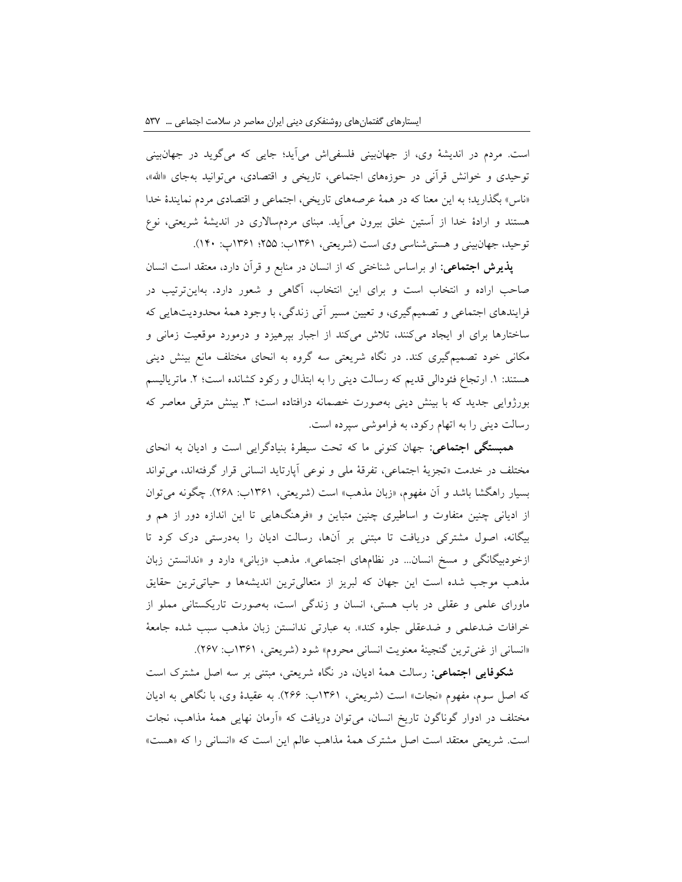است. مردم در اندیشۀ وی، از جهانبینی فلسفیاش میآید؛ جایی که میگوید در جهانبینی توحیدی و خوانش قرآنی در حوزههای اجتماعی، تاریخی و اقتصادی، میتوانید بهجای »اهلل«، »ناس« بگذارید؛ به این معنا که در همۀ عرصههای تاریخی، اجتماعی و اقتصادی مردم نمایندۀ خدا هستند و ارادۀ خدا از آستین خلق بیرون میآید. مبنای مردمساالری در اندیشۀ شریعتی، نوع توحید، جهانبینی و هستیشناسی وی است )شریعتی، 1361ب: 255؛ 1361پ: 140(.

**پذیرش اجتماعی:** او براساس شناختی که از انسان در منابع و قرآن دارد، معتقد است انسان صاحب اراده و انتخاب است و برای این انتخاب، آگاهی و شعور دارد. بهاینترتیب در فرایندهای اجتماعی و تصمیمگیری، و تعیین مسیر آتی زندگی، با وجود همۀ محدودیتهایی که ساختارها برای او ایجاد میکنند، تالش میکند از اجبار بپرهیزد و درمورد موقعیت زمانی و مکانی خود تصمیمگیری کند. در نگاه شریعتی سه گروه به انحای مختلف مانع بینش دینی هستند: ١. ارتجاع فئودالی قدیم که رسالت دینی را به ابتذال و رکود کشانده است؛ ٢. ماتریالیسم بورژوایی جدید که با بینش دینی بهصورت خصمانه درافتاده است؛ ۳. بینش مترقی معاصر که رسالت دینی را به اتهام رکود، به فراموشی سپرده است.

**همبستگی اجتماعی:** جهان کنونی ما که تحت سیطرۀ بنیادگرایی است و ادیان به انحای مختلف در خدمت »تجزیۀ اجتماعی، تفرقۀ ملی و نوعی آپارتاید انسانی قرار گرفتهاند، میتواند بسیار راهگشا باشد و آن مفهوم، «زبان مذهب» است (شریعتی، ۱۳۶۱ب: ۲۶۸). چگونه می توان از ادیانی چنین متفاوت و اساطیری چنین متباین و »فرهنگهایی تا این اندازه دور از هم و بیگانه، اصول مشترکی دریافت تا مبتنی بر آنها، رسالت ادیان را بهدرستی درک کرد تا ازخودبیگانگی و مسخ انسان... در نظامهای اجتماعی». مذهب «زبانی» دارد و «ندانستن زبان مذهب موجب شده است این جهان که لبریز از متعالیترین اندیشهها و حیاتیترین حقایق ماورای علمی و عقلی در باب هستی، انسان و زندگی است، بهصورت تاریکستانی مملو از خرافات ضدعلمی و ضدعقلی جلوه کند«. به عبارتی ندانستن زبان مذهب سبب شده جامعۀ «انسانی از غنیترین گنجینۀ معنویت انسانی محروم» شود (شریعتی، ۱۳۶۱ب: ۲۶۷).

**شکوفایی اجتماعی:** رسالت همۀ ادیان، در نگاه شریعتی، مبتنی بر سه اصل مشترک است که اصل سوم، مفهوم «نجات» است (شریعتی، ۱۳۶۱ب: ۲۶۶). به عقیدۀ وی، با نگاهی به ادیان مختلف در ادوار گوناگون تاریخ انسان، میتوان دریافت که »آرمان نهایی همۀ مذاهب، نجات است. شریعتی معتقد است اصل مشترک همۀ مذاهب عالم این است که »انسانی را که »هست«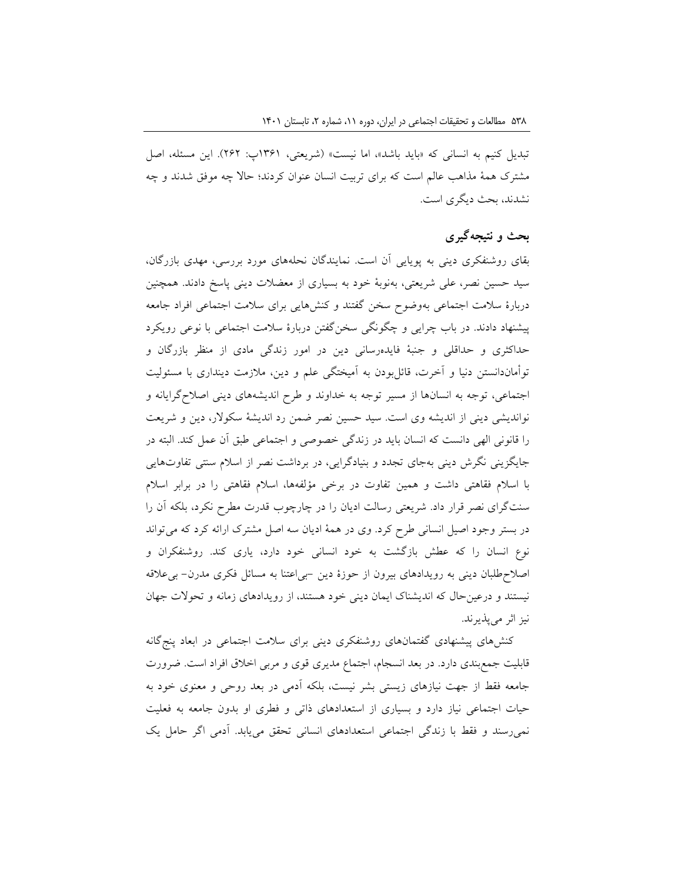تبدیل کنیم به انسانی که «باید باشد»، اما نیست» (شریعتی، ۱۳۶۱پ: ۲۶۲). این مسئله، اصل مشترک همۀ مذاهب عالم است که برای تربیت انسان عنوان کردند؛ حاال چه موفق شدند و چه نشدند، بحث دیگری است.

# **بحث و نتیجهگیری**

بقای روشنفکری دینی به پویایی آن است. نمایندگان نحلههای مورد بررسی، مهدی بازرگان، سید حسین نصر، علی شریعتی، بهنوبۀ خود به بسیاری از معضالت دینی پاسخ دادند. همچنین دربارۀ سالمت اجتماعی بهوضوح سخن گفتند و کنشهایی برای سالمت اجتماعی افراد جامعه پیشنهاد دادند. در باب چرایی و چگونگی سخنگفتن دربارۀ سالمت اجتماعی با نوعی رویکرد حداکثری و حداقلی و جنبۀ فایدهرسانی دین در امور زندگی مادی از منظر بازرگان و توأماندانستن دنیا و آخرت، قائلبودن به آمیختگی علم و دین، مالزمت دینداری با مسئولیت اجتماعی، توجه به انسانها از مسیر توجه به خداوند و طرح اندیشههای دینی اصالحگرایانه و نواندیشی دینی از اندیشه وی است. سید حسین نصر ضمن رد اندیشۀ سکوالر، دین و شریعت را قانونی الهی دانست که انسان باید در زندگی خصوصی و اجتماعی طبق آن عمل کند. البته در جایگزینی نگرش دینی بهجای تجدد و بنیادگرایی، در برداشت نصر از اسالم سنتی تفاوتهایی با اسالم فقاهتی داشت و همین تفاوت در برخی مؤلفهها، اسالم فقاهتی را در برابر اسالم سنتگرای نصر قرار داد. شریعتی رسالت ادیان را در چارچوب قدرت مطرح نکرد، بلکه آن را در بستر وجود اصیل انسانی طرح کرد. وی در همۀ ادیان سه اصل مشترک ارائه کرد که میتواند نوع انسان را که عطش بازگشت به خود انسانی خود دارد، یاری کند. روشنفکران و اصالحطلبان دینی به رویدادهای بیرون از حوزۀ دین -بیاعتنا به مسائل فکری مدرن- بیعالقه نیستند و درعینحال که اندیشناک ایمان دینی خود هستند، از رویدادهای زمانه و تحوالت جهان نیز اثر میپذیرند.

کنشهای پیشنهادی گفتمانهای روشنفکری دینی برای سالمت اجتماعی در ابعاد پنجگانه قابلیت جمعبندی دارد. در بعد انسجام، اجتماع مدیری قوی و مربی اخالق افراد است. ضرورت جامعه فقط از جهت نیازهای زیستی بشر نیست، بلکه آدمی در بعد روحی و معنوی خود به حیات اجتماعی نیاز دارد و بسیاری از استعدادهای ذاتی و فطری او بدون جامعه به فعلیت نمیرسند و فقط با زندگی اجتماعی استعدادهای انسانی تحقق مییابد. آدمی اگر حامل یک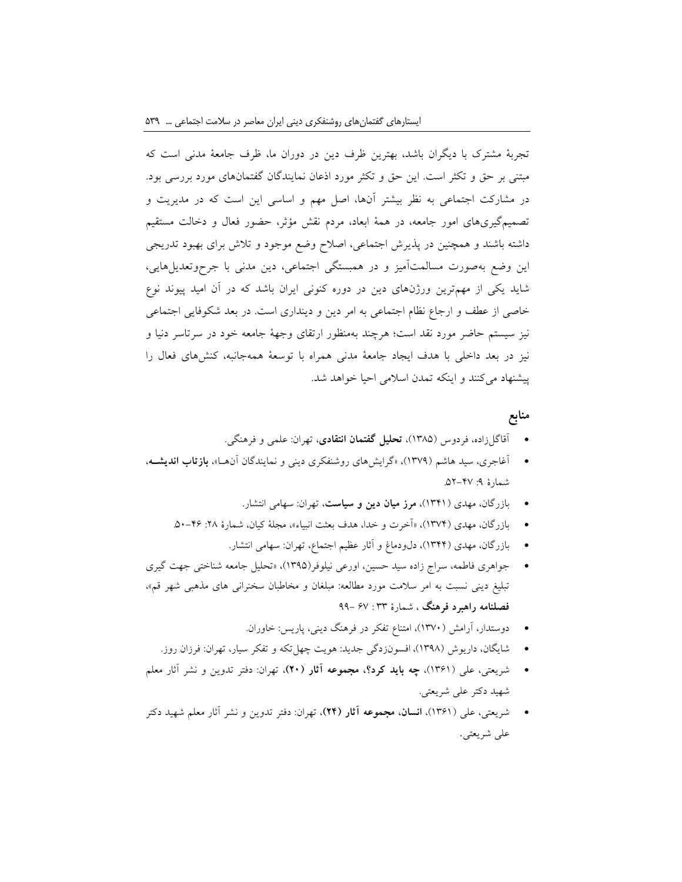تجربۀ مشترک با دیگران باشد، بهترین ظرف دین در دوران ما، ظرف جامعۀ مدنی است که مبتنی بر حق و تکثر است. این حق و تکثر مورد اذعان نمایندگان گفتمانهای مورد بررسی بود. در مشارکت اجتماعی به نظر بیشتر آنها، اصل مهم و اساسی این است که در مدیریت و تصمیمگیریهای امور جامعه، در همۀ ابعاد، مردم نقش مؤثر، حضور فعال و دخالت مستقیم داشته باشند و همچنین در پذیرش اجتماعی، اصالح وضع موجود و تالش برای بهبود تدریجی این وضع بهصورت مسالمتآمیز و در همبستگی اجتماعی، دین مدنی با جرحوتعدیلهایی، شاید یکی از مهمترین ورژنهای دین در دوره کنونی ایران باشد که در آن امید پیوند نوع خاصی از عطف و ارجاع نظام اجتماعی به امر دین و دینداری است. در بعد شکوفایی اجتماعی نیز سیستم حاضر مورد نقد است؛ هرچند بهمنظور ارتقای وجهۀ جامعه خود در سرتاسر دنیا و نیز در بعد داخلی با هدف ایجاد جامعۀ مدنی همراه با توسعۀ همهجانبه، کنشهای فعال را پیشنهاد میکنند و اینکه تمدن اسالمی احیا خواهد شد.

### **منابع**

- آقاگلزاده، فردوس )1385(، **تحلیل گفتمان انتقادی**، تهران: علمی و فرهنگی.
- آغاجری، سید هاشم )1379(، »گرایشهای روشنفکری دینی و نمایندگان آنهها «، **بازتاب اندیشهه** ، شمارهٔ ۹: ۴۷-۵۲.
	- بازرگان، مهدی )1341(، **مرز میان دین و سیاست**، تهران: سهامی انتشار.
	- بازرگان، مهدی )1374(، »آخرت و خدا، هدف بعثت انبیاء«، مجلۀ کیان، شمارۀ :28 .50-46
		- بازرگان، مهدی (۱۳۴۴)، دلودماغ و آثار عظیم اجتماع، تهران: سهامی انتشار.
- جواهری فاطمه، سراج زاده سید حسین، اورعی نیلوفر)1395(، »تحلیل جامعه شناختی جهت گیری تبلیغ دینی نسبت به امر سالمت مورد مطالعه: مبلغان و مخاطبان سخنرانی های مذهبی شهر قم«، **فصلنامه راهبرد فرهنگ** ، شمارۀ 33 : 67 99-
	- دوستدار، آرامش )1370(، امتناع تفکر در فرهنگ دینی، پاریس: خاوران.
	- شایگان، داریوش )1398(، افسونزدگی جدید: هویت چهلتکه و تفکر سیار، تهران: فرزان روز.
- شریعتی، علی )1361(، **چه باید کرد؟، مجموعه آثار )20(**، تهران: دفتر تدوین و نشر آثار معلم شهید دکتر علی شریعتی.
- شریعتی، علی )1361(، **انسان، مجموعه آثار )24(**، تهران: دفتر تدوین و نشر آثار معلم شهید دکتر علی شریعتی.